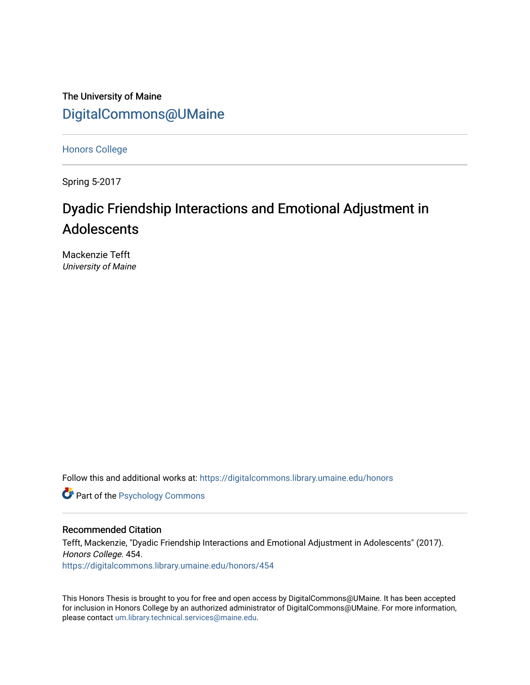The University of Maine [DigitalCommons@UMaine](https://digitalcommons.library.umaine.edu/)

[Honors College](https://digitalcommons.library.umaine.edu/honors)

Spring 5-2017

# Dyadic Friendship Interactions and Emotional Adjustment in Adolescents

Mackenzie Tefft University of Maine

Follow this and additional works at: [https://digitalcommons.library.umaine.edu/honors](https://digitalcommons.library.umaine.edu/honors?utm_source=digitalcommons.library.umaine.edu%2Fhonors%2F454&utm_medium=PDF&utm_campaign=PDFCoverPages) 

**Part of the Psychology Commons** 

#### Recommended Citation

Tefft, Mackenzie, "Dyadic Friendship Interactions and Emotional Adjustment in Adolescents" (2017). Honors College. 454. [https://digitalcommons.library.umaine.edu/honors/454](https://digitalcommons.library.umaine.edu/honors/454?utm_source=digitalcommons.library.umaine.edu%2Fhonors%2F454&utm_medium=PDF&utm_campaign=PDFCoverPages) 

This Honors Thesis is brought to you for free and open access by DigitalCommons@UMaine. It has been accepted for inclusion in Honors College by an authorized administrator of DigitalCommons@UMaine. For more information, please contact [um.library.technical.services@maine.edu.](mailto:um.library.technical.services@maine.edu)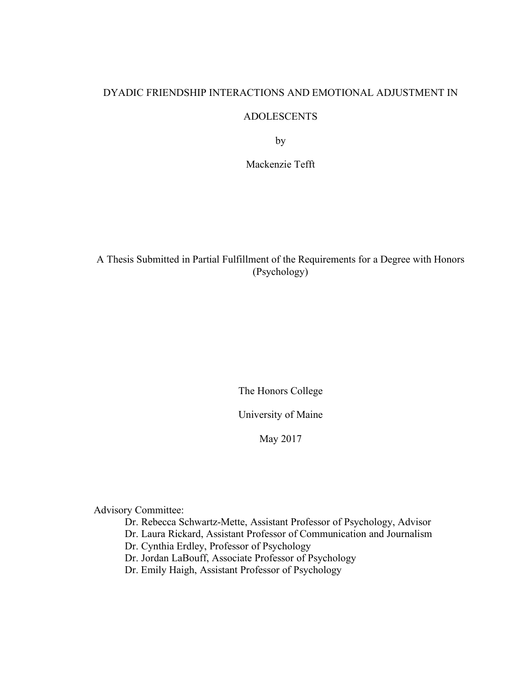## DYADIC FRIENDSHIP INTERACTIONS AND EMOTIONAL ADJUSTMENT IN

### ADOLESCENTS

by

Mackenzie Tefft

A Thesis Submitted in Partial Fulfillment of the Requirements for a Degree with Honors (Psychology)

The Honors College

University of Maine

May 2017

Advisory Committee:

Dr. Rebecca Schwartz-Mette, Assistant Professor of Psychology, Advisor

Dr. Laura Rickard, Assistant Professor of Communication and Journalism

Dr. Cynthia Erdley, Professor of Psychology

Dr. Jordan LaBouff, Associate Professor of Psychology

Dr. Emily Haigh, Assistant Professor of Psychology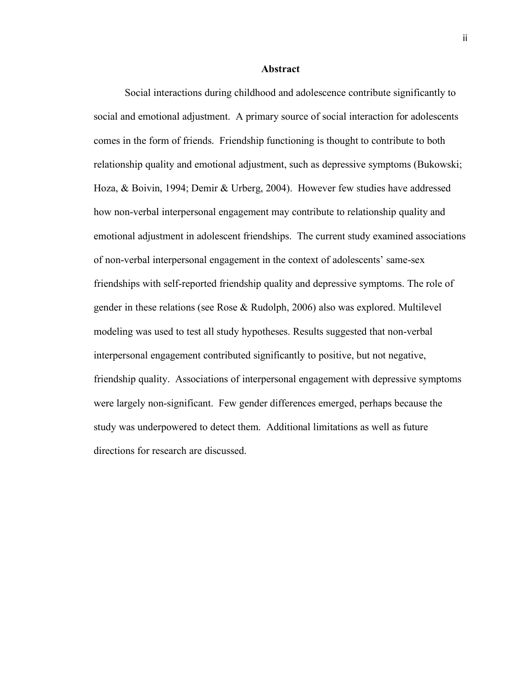#### **Abstract**

Social interactions during childhood and adolescence contribute significantly to social and emotional adjustment. A primary source of social interaction for adolescents comes in the form of friends. Friendship functioning is thought to contribute to both relationship quality and emotional adjustment, such as depressive symptoms (Bukowski; Hoza, & Boivin, 1994; Demir & Urberg, 2004). However few studies have addressed how non-verbal interpersonal engagement may contribute to relationship quality and emotional adjustment in adolescent friendships. The current study examined associations of non-verbal interpersonal engagement in the context of adolescents' same-sex friendships with self-reported friendship quality and depressive symptoms. The role of gender in these relations (see Rose & Rudolph, 2006) also was explored. Multilevel modeling was used to test all study hypotheses. Results suggested that non-verbal interpersonal engagement contributed significantly to positive, but not negative, friendship quality. Associations of interpersonal engagement with depressive symptoms were largely non-significant. Few gender differences emerged, perhaps because the study was underpowered to detect them. Additional limitations as well as future directions for research are discussed.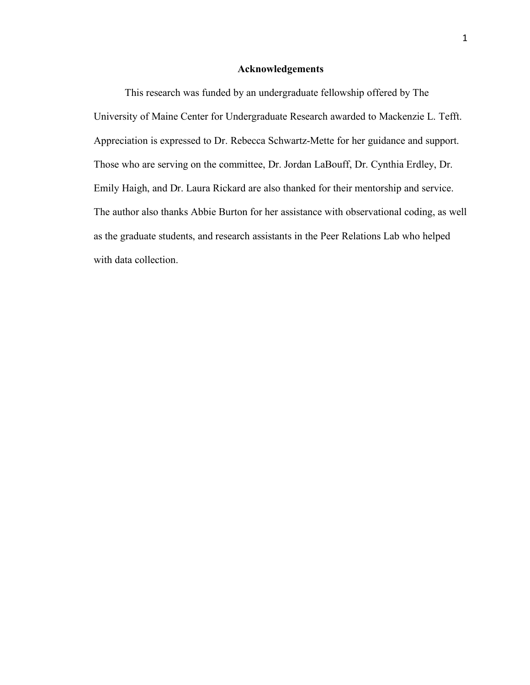#### **Acknowledgements**

This research was funded by an undergraduate fellowship offered by The University of Maine Center for Undergraduate Research awarded to Mackenzie L. Tefft. Appreciation is expressed to Dr. Rebecca Schwartz-Mette for her guidance and support. Those who are serving on the committee, Dr. Jordan LaBouff, Dr. Cynthia Erdley, Dr. Emily Haigh, and Dr. Laura Rickard are also thanked for their mentorship and service. The author also thanks Abbie Burton for her assistance with observational coding, as well as the graduate students, and research assistants in the Peer Relations Lab who helped with data collection.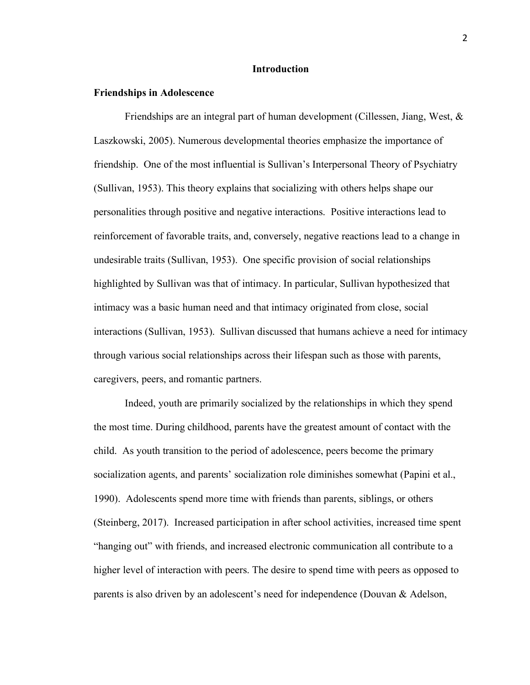#### **Introduction**

#### **Friendships in Adolescence**

Friendships are an integral part of human development (Cillessen, Jiang, West, & Laszkowski, 2005). Numerous developmental theories emphasize the importance of friendship. One of the most influential is Sullivan's Interpersonal Theory of Psychiatry (Sullivan, 1953). This theory explains that socializing with others helps shape our personalities through positive and negative interactions. Positive interactions lead to reinforcement of favorable traits, and, conversely, negative reactions lead to a change in undesirable traits (Sullivan, 1953). One specific provision of social relationships highlighted by Sullivan was that of intimacy. In particular, Sullivan hypothesized that intimacy was a basic human need and that intimacy originated from close, social interactions (Sullivan, 1953). Sullivan discussed that humans achieve a need for intimacy through various social relationships across their lifespan such as those with parents, caregivers, peers, and romantic partners.

Indeed, youth are primarily socialized by the relationships in which they spend the most time. During childhood, parents have the greatest amount of contact with the child. As youth transition to the period of adolescence, peers become the primary socialization agents, and parents' socialization role diminishes somewhat (Papini et al., 1990). Adolescents spend more time with friends than parents, siblings, or others (Steinberg, 2017). Increased participation in after school activities, increased time spent "hanging out" with friends, and increased electronic communication all contribute to a higher level of interaction with peers. The desire to spend time with peers as opposed to parents is also driven by an adolescent's need for independence (Douvan & Adelson,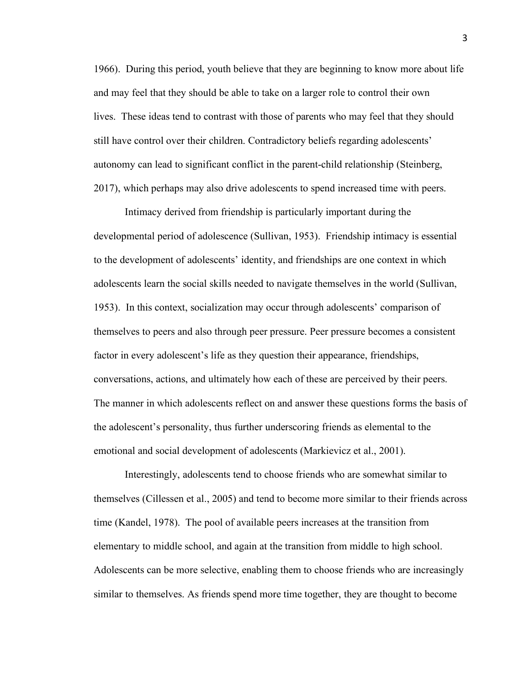1966). During this period, youth believe that they are beginning to know more about life and may feel that they should be able to take on a larger role to control their own lives. These ideas tend to contrast with those of parents who may feel that they should still have control over their children. Contradictory beliefs regarding adolescents' autonomy can lead to significant conflict in the parent-child relationship (Steinberg, 2017), which perhaps may also drive adolescents to spend increased time with peers.

Intimacy derived from friendship is particularly important during the developmental period of adolescence (Sullivan, 1953). Friendship intimacy is essential to the development of adolescents' identity, and friendships are one context in which adolescents learn the social skills needed to navigate themselves in the world (Sullivan, 1953). In this context, socialization may occur through adolescents' comparison of themselves to peers and also through peer pressure. Peer pressure becomes a consistent factor in every adolescent's life as they question their appearance, friendships, conversations, actions, and ultimately how each of these are perceived by their peers. The manner in which adolescents reflect on and answer these questions forms the basis of the adolescent's personality, thus further underscoring friends as elemental to the emotional and social development of adolescents (Markievicz et al., 2001).

Interestingly, adolescents tend to choose friends who are somewhat similar to themselves (Cillessen et al., 2005) and tend to become more similar to their friends across time (Kandel, 1978). The pool of available peers increases at the transition from elementary to middle school, and again at the transition from middle to high school. Adolescents can be more selective, enabling them to choose friends who are increasingly similar to themselves. As friends spend more time together, they are thought to become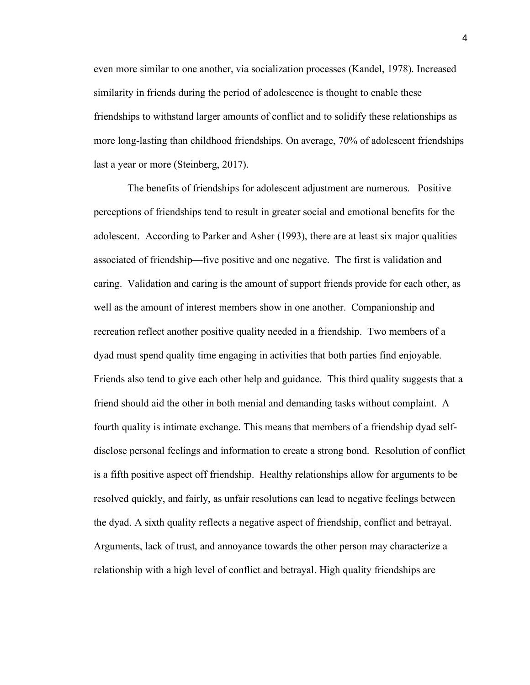even more similar to one another, via socialization processes (Kandel, 1978). Increased similarity in friends during the period of adolescence is thought to enable these friendships to withstand larger amounts of conflict and to solidify these relationships as more long-lasting than childhood friendships. On average, 70% of adolescent friendships last a year or more (Steinberg, 2017).

 The benefits of friendships for adolescent adjustment are numerous. Positive perceptions of friendships tend to result in greater social and emotional benefits for the adolescent. According to Parker and Asher (1993), there are at least six major qualities associated of friendship—five positive and one negative. The first is validation and caring. Validation and caring is the amount of support friends provide for each other, as well as the amount of interest members show in one another. Companionship and recreation reflect another positive quality needed in a friendship. Two members of a dyad must spend quality time engaging in activities that both parties find enjoyable. Friends also tend to give each other help and guidance. This third quality suggests that a friend should aid the other in both menial and demanding tasks without complaint. A fourth quality is intimate exchange. This means that members of a friendship dyad selfdisclose personal feelings and information to create a strong bond. Resolution of conflict is a fifth positive aspect off friendship. Healthy relationships allow for arguments to be resolved quickly, and fairly, as unfair resolutions can lead to negative feelings between the dyad. A sixth quality reflects a negative aspect of friendship, conflict and betrayal. Arguments, lack of trust, and annoyance towards the other person may characterize a relationship with a high level of conflict and betrayal. High quality friendships are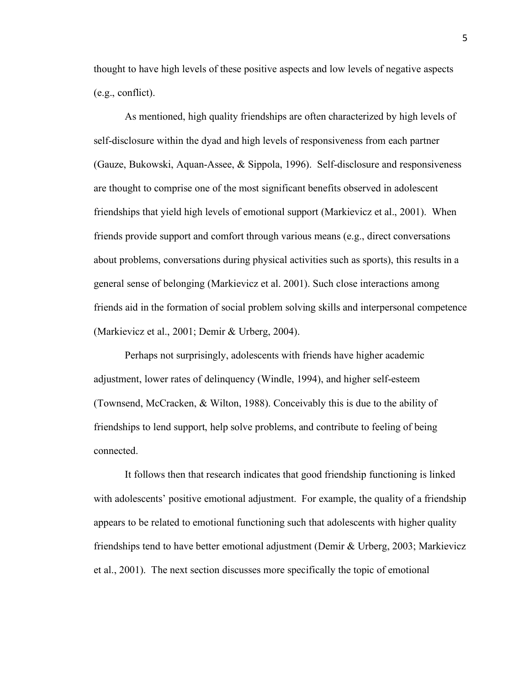thought to have high levels of these positive aspects and low levels of negative aspects (e.g., conflict).

As mentioned, high quality friendships are often characterized by high levels of self-disclosure within the dyad and high levels of responsiveness from each partner (Gauze, Bukowski, Aquan-Assee, & Sippola, 1996). Self-disclosure and responsiveness are thought to comprise one of the most significant benefits observed in adolescent friendships that yield high levels of emotional support (Markievicz et al., 2001). When friends provide support and comfort through various means (e.g., direct conversations about problems, conversations during physical activities such as sports), this results in a general sense of belonging (Markievicz et al. 2001). Such close interactions among friends aid in the formation of social problem solving skills and interpersonal competence (Markievicz et al., 2001; Demir & Urberg, 2004).

Perhaps not surprisingly, adolescents with friends have higher academic adjustment, lower rates of delinquency (Windle, 1994), and higher self-esteem (Townsend, McCracken, & Wilton, 1988). Conceivably this is due to the ability of friendships to lend support, help solve problems, and contribute to feeling of being connected.

It follows then that research indicates that good friendship functioning is linked with adolescents' positive emotional adjustment. For example, the quality of a friendship appears to be related to emotional functioning such that adolescents with higher quality friendships tend to have better emotional adjustment (Demir & Urberg, 2003; Markievicz et al., 2001). The next section discusses more specifically the topic of emotional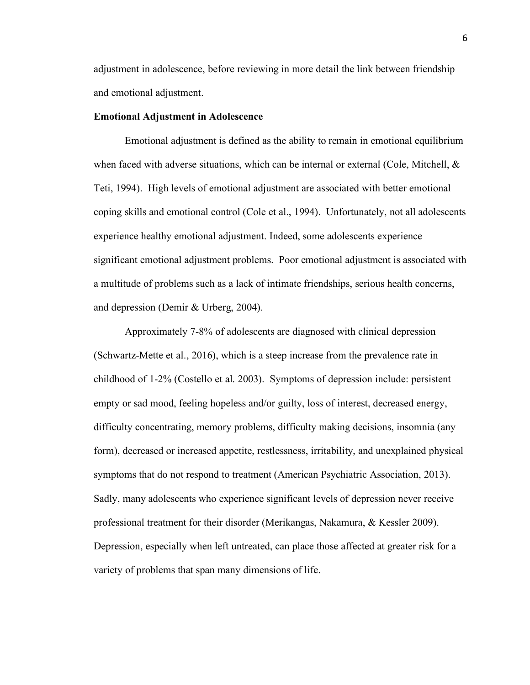adjustment in adolescence, before reviewing in more detail the link between friendship and emotional adjustment.

#### **Emotional Adjustment in Adolescence**

Emotional adjustment is defined as the ability to remain in emotional equilibrium when faced with adverse situations, which can be internal or external (Cole, Mitchell,  $\&$ Teti, 1994). High levels of emotional adjustment are associated with better emotional coping skills and emotional control (Cole et al., 1994). Unfortunately, not all adolescents experience healthy emotional adjustment. Indeed, some adolescents experience significant emotional adjustment problems. Poor emotional adjustment is associated with a multitude of problems such as a lack of intimate friendships, serious health concerns, and depression (Demir & Urberg, 2004).

Approximately 7-8% of adolescents are diagnosed with clinical depression (Schwartz-Mette et al., 2016), which is a steep increase from the prevalence rate in childhood of 1-2% (Costello et al. 2003). Symptoms of depression include: persistent empty or sad mood, feeling hopeless and/or guilty, loss of interest, decreased energy, difficulty concentrating, memory problems, difficulty making decisions, insomnia (any form), decreased or increased appetite, restlessness, irritability, and unexplained physical symptoms that do not respond to treatment (American Psychiatric Association, 2013). Sadly, many adolescents who experience significant levels of depression never receive professional treatment for their disorder (Merikangas, Nakamura, & Kessler 2009). Depression, especially when left untreated, can place those affected at greater risk for a variety of problems that span many dimensions of life.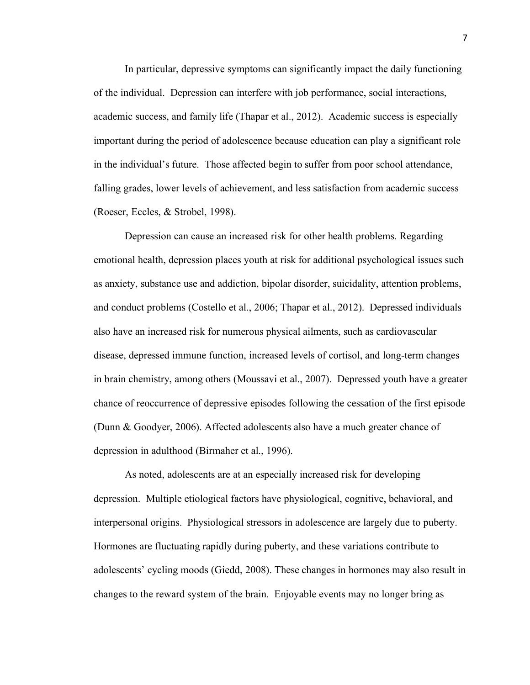In particular, depressive symptoms can significantly impact the daily functioning of the individual. Depression can interfere with job performance, social interactions, academic success, and family life (Thapar et al., 2012). Academic success is especially important during the period of adolescence because education can play a significant role in the individual's future. Those affected begin to suffer from poor school attendance, falling grades, lower levels of achievement, and less satisfaction from academic success (Roeser, Eccles, & Strobel, 1998).

Depression can cause an increased risk for other health problems. Regarding emotional health, depression places youth at risk for additional psychological issues such as anxiety, substance use and addiction, bipolar disorder, suicidality, attention problems, and conduct problems (Costello et al., 2006; Thapar et al., 2012). Depressed individuals also have an increased risk for numerous physical ailments, such as cardiovascular disease, depressed immune function, increased levels of cortisol, and long-term changes in brain chemistry, among others (Moussavi et al., 2007). Depressed youth have a greater chance of reoccurrence of depressive episodes following the cessation of the first episode (Dunn & Goodyer, 2006). Affected adolescents also have a much greater chance of depression in adulthood (Birmaher et al., 1996).

As noted, adolescents are at an especially increased risk for developing depression. Multiple etiological factors have physiological, cognitive, behavioral, and interpersonal origins. Physiological stressors in adolescence are largely due to puberty. Hormones are fluctuating rapidly during puberty, and these variations contribute to adolescents' cycling moods (Giedd, 2008). These changes in hormones may also result in changes to the reward system of the brain. Enjoyable events may no longer bring as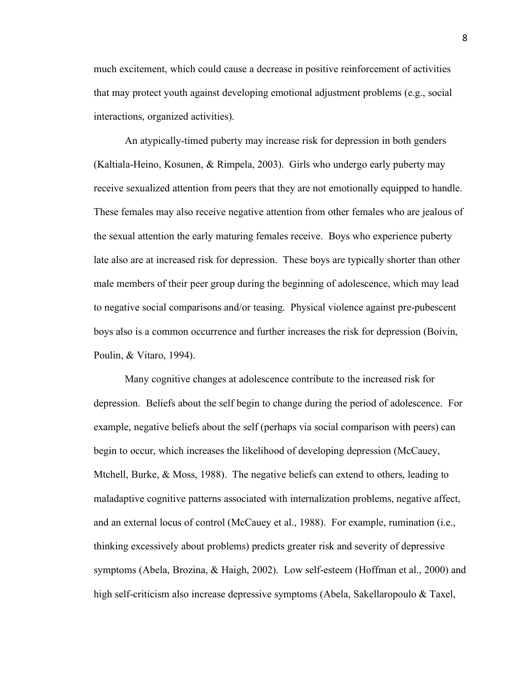much excitement, which could cause a decrease in positive reinforcement of activities that may protect youth against developing emotional adjustment problems (e.g., social interactions, organized activities).

An atypically-timed puberty may increase risk for depression in both genders (Kaltiala-Heino, Kosunen, & Rimpela, 2003). Girls who undergo early puberty may receive sexualized attention from peers that they are not emotionally equipped to handle. These females may also receive negative attention from other females who are jealous of the sexual attention the early maturing females receive. Boys who experience puberty late also are at increased risk for depression. These boys are typically shorter than other male members of their peer group during the beginning of adolescence, which may lead to negative social comparisons and/or teasing. Physical violence against pre-pubescent boys also is a common occurrence and further increases the risk for depression (Boivin, Poulin, & Vitaro, 1994).

Many cognitive changes at adolescence contribute to the increased risk for depression. Beliefs about the self begin to change during the period of adolescence. For example, negative beliefs about the self (perhaps via social comparison with peers) can begin to occur, which increases the likelihood of developing depression (McCauey, Mtchell, Burke, & Moss, 1988). The negative beliefs can extend to others, leading to maladaptive cognitive patterns associated with internalization problems, negative affect, and an external locus of control (McCauey et al., 1988). For example, rumination (i.e., thinking excessively about problems) predicts greater risk and severity of depressive symptoms (Abela, Brozina, & Haigh, 2002). Low self-esteem (Hoffman et al., 2000) and high self-criticism also increase depressive symptoms (Abela, Sakellaropoulo & Taxel,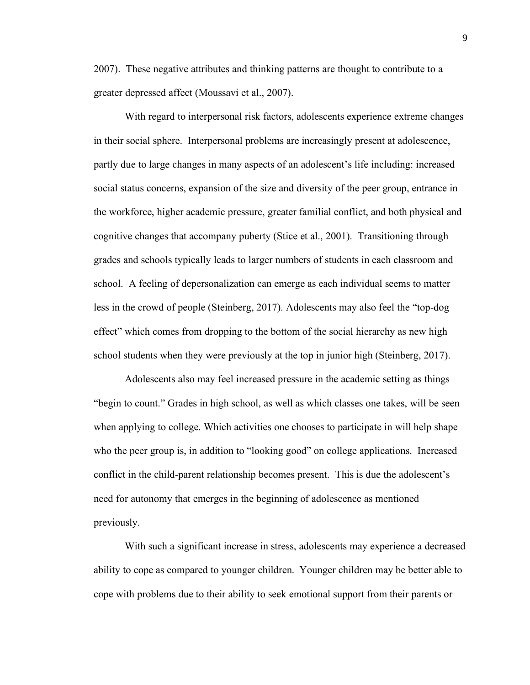2007). These negative attributes and thinking patterns are thought to contribute to a greater depressed affect (Moussavi et al., 2007).

With regard to interpersonal risk factors, adolescents experience extreme changes in their social sphere. Interpersonal problems are increasingly present at adolescence, partly due to large changes in many aspects of an adolescent's life including: increased social status concerns, expansion of the size and diversity of the peer group, entrance in the workforce, higher academic pressure, greater familial conflict, and both physical and cognitive changes that accompany puberty (Stice et al., 2001). Transitioning through grades and schools typically leads to larger numbers of students in each classroom and school. A feeling of depersonalization can emerge as each individual seems to matter less in the crowd of people (Steinberg, 2017). Adolescents may also feel the "top-dog effect" which comes from dropping to the bottom of the social hierarchy as new high school students when they were previously at the top in junior high (Steinberg, 2017).

Adolescents also may feel increased pressure in the academic setting as things "begin to count." Grades in high school, as well as which classes one takes, will be seen when applying to college. Which activities one chooses to participate in will help shape who the peer group is, in addition to "looking good" on college applications. Increased conflict in the child-parent relationship becomes present. This is due the adolescent's need for autonomy that emerges in the beginning of adolescence as mentioned previously.

With such a significant increase in stress, adolescents may experience a decreased ability to cope as compared to younger children. Younger children may be better able to cope with problems due to their ability to seek emotional support from their parents or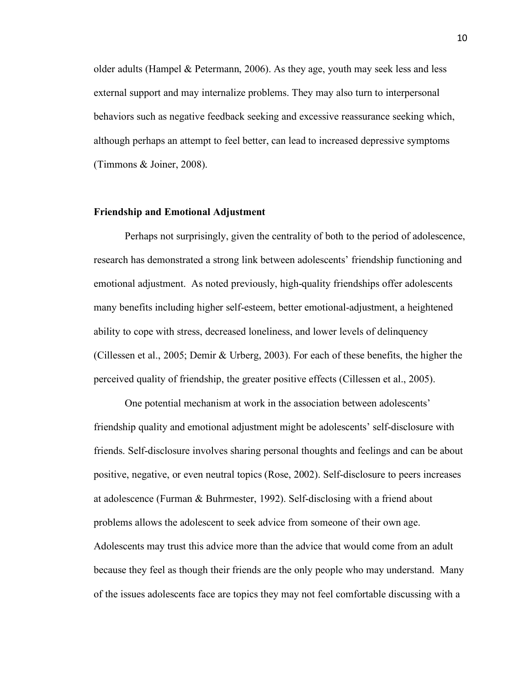older adults (Hampel  $\&$  Petermann, 2006). As they age, youth may seek less and less external support and may internalize problems. They may also turn to interpersonal behaviors such as negative feedback seeking and excessive reassurance seeking which, although perhaps an attempt to feel better, can lead to increased depressive symptoms (Timmons & Joiner, 2008).

#### **Friendship and Emotional Adjustment**

Perhaps not surprisingly, given the centrality of both to the period of adolescence, research has demonstrated a strong link between adolescents' friendship functioning and emotional adjustment. As noted previously, high-quality friendships offer adolescents many benefits including higher self-esteem, better emotional-adjustment, a heightened ability to cope with stress, decreased loneliness, and lower levels of delinquency (Cillessen et al., 2005; Demir & Urberg, 2003). For each of these benefits, the higher the perceived quality of friendship, the greater positive effects (Cillessen et al., 2005).

One potential mechanism at work in the association between adolescents' friendship quality and emotional adjustment might be adolescents' self-disclosure with friends. Self-disclosure involves sharing personal thoughts and feelings and can be about positive, negative, or even neutral topics (Rose, 2002). Self-disclosure to peers increases at adolescence (Furman & Buhrmester, 1992). Self-disclosing with a friend about problems allows the adolescent to seek advice from someone of their own age. Adolescents may trust this advice more than the advice that would come from an adult because they feel as though their friends are the only people who may understand. Many of the issues adolescents face are topics they may not feel comfortable discussing with a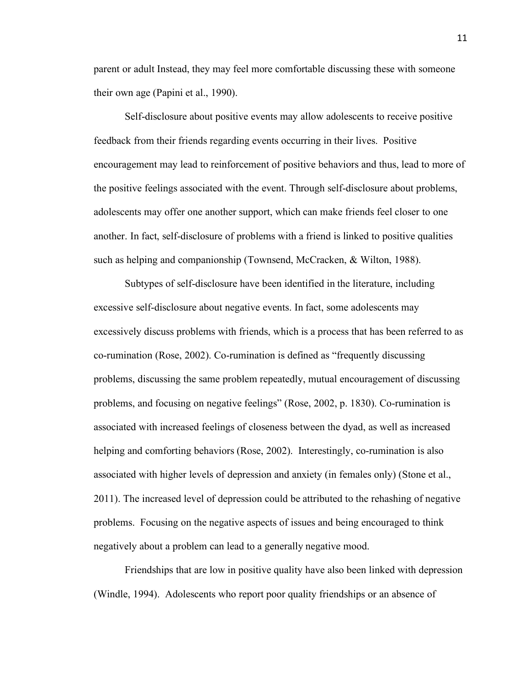parent or adult Instead, they may feel more comfortable discussing these with someone their own age (Papini et al., 1990).

Self-disclosure about positive events may allow adolescents to receive positive feedback from their friends regarding events occurring in their lives. Positive encouragement may lead to reinforcement of positive behaviors and thus, lead to more of the positive feelings associated with the event. Through self-disclosure about problems, adolescents may offer one another support, which can make friends feel closer to one another. In fact, self-disclosure of problems with a friend is linked to positive qualities such as helping and companionship (Townsend, McCracken, & Wilton, 1988).

Subtypes of self-disclosure have been identified in the literature, including excessive self-disclosure about negative events. In fact, some adolescents may excessively discuss problems with friends, which is a process that has been referred to as co-rumination (Rose, 2002). Co-rumination is defined as "frequently discussing problems, discussing the same problem repeatedly, mutual encouragement of discussing problems, and focusing on negative feelings" (Rose, 2002, p. 1830). Co-rumination is associated with increased feelings of closeness between the dyad, as well as increased helping and comforting behaviors (Rose, 2002). Interestingly, co-rumination is also associated with higher levels of depression and anxiety (in females only) (Stone et al., 2011). The increased level of depression could be attributed to the rehashing of negative problems. Focusing on the negative aspects of issues and being encouraged to think negatively about a problem can lead to a generally negative mood.

Friendships that are low in positive quality have also been linked with depression (Windle, 1994). Adolescents who report poor quality friendships or an absence of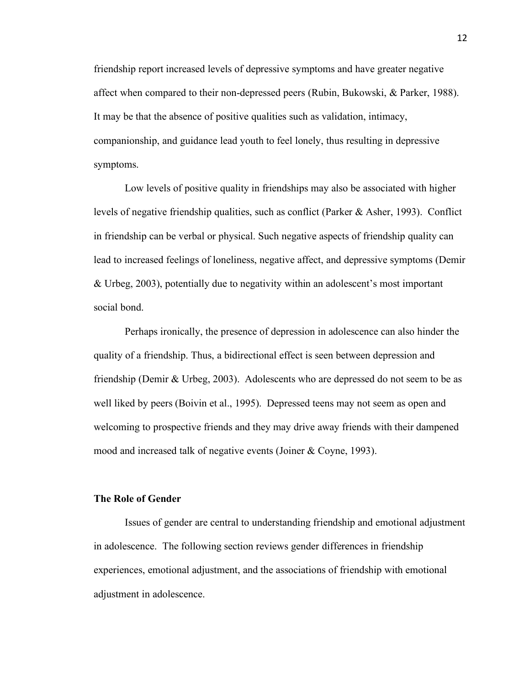friendship report increased levels of depressive symptoms and have greater negative affect when compared to their non-depressed peers (Rubin, Bukowski, & Parker, 1988). It may be that the absence of positive qualities such as validation, intimacy, companionship, and guidance lead youth to feel lonely, thus resulting in depressive symptoms.

Low levels of positive quality in friendships may also be associated with higher levels of negative friendship qualities, such as conflict (Parker & Asher, 1993). Conflict in friendship can be verbal or physical. Such negative aspects of friendship quality can lead to increased feelings of loneliness, negative affect, and depressive symptoms (Demir & Urbeg, 2003), potentially due to negativity within an adolescent's most important social bond.

Perhaps ironically, the presence of depression in adolescence can also hinder the quality of a friendship. Thus, a bidirectional effect is seen between depression and friendship (Demir & Urbeg, 2003). Adolescents who are depressed do not seem to be as well liked by peers (Boivin et al., 1995). Depressed teens may not seem as open and welcoming to prospective friends and they may drive away friends with their dampened mood and increased talk of negative events (Joiner & Coyne, 1993).

### **The Role of Gender**

Issues of gender are central to understanding friendship and emotional adjustment in adolescence. The following section reviews gender differences in friendship experiences, emotional adjustment, and the associations of friendship with emotional adjustment in adolescence.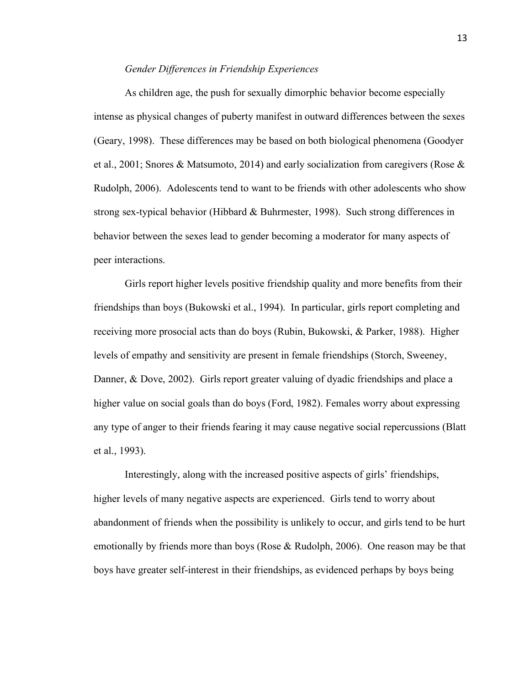#### *Gender Differences in Friendship Experiences*

As children age, the push for sexually dimorphic behavior become especially intense as physical changes of puberty manifest in outward differences between the sexes (Geary, 1998). These differences may be based on both biological phenomena (Goodyer et al., 2001; Snores & Matsumoto, 2014) and early socialization from caregivers (Rose & Rudolph, 2006). Adolescents tend to want to be friends with other adolescents who show strong sex-typical behavior (Hibbard & Buhrmester, 1998). Such strong differences in behavior between the sexes lead to gender becoming a moderator for many aspects of peer interactions.

Girls report higher levels positive friendship quality and more benefits from their friendships than boys (Bukowski et al., 1994). In particular, girls report completing and receiving more prosocial acts than do boys (Rubin, Bukowski, & Parker, 1988). Higher levels of empathy and sensitivity are present in female friendships (Storch, Sweeney, Danner, & Dove, 2002). Girls report greater valuing of dyadic friendships and place a higher value on social goals than do boys (Ford, 1982). Females worry about expressing any type of anger to their friends fearing it may cause negative social repercussions (Blatt et al., 1993).

Interestingly, along with the increased positive aspects of girls' friendships, higher levels of many negative aspects are experienced. Girls tend to worry about abandonment of friends when the possibility is unlikely to occur, and girls tend to be hurt emotionally by friends more than boys (Rose & Rudolph, 2006). One reason may be that boys have greater self-interest in their friendships, as evidenced perhaps by boys being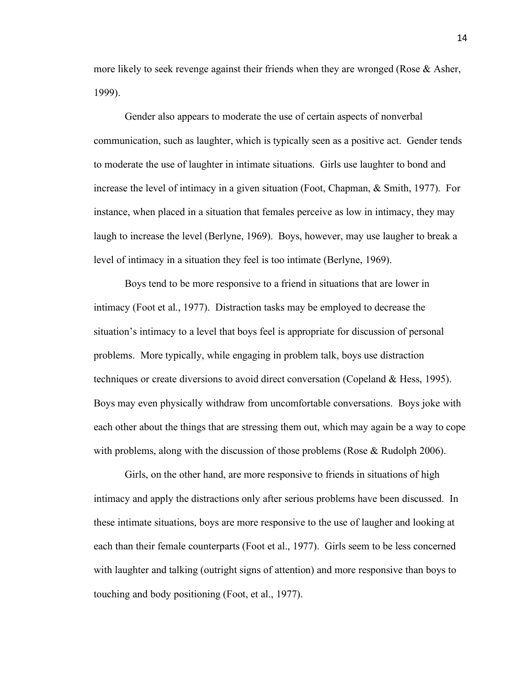more likely to seek revenge against their friends when they are wronged (Rose  $\&$  Asher, 1999).

Gender also appears to moderate the use of certain aspects of nonverbal communication, such as laughter, which is typically seen as a positive act. Gender tends to moderate the use of laughter in intimate situations. Girls use laughter to bond and increase the level of intimacy in a given situation (Foot, Chapman, & Smith, 1977). For instance, when placed in a situation that females perceive as low in intimacy, they may laugh to increase the level (Berlyne, 1969). Boys, however, may use laugher to break a level of intimacy in a situation they feel is too intimate (Berlyne, 1969).

Boys tend to be more responsive to a friend in situations that are lower in intimacy (Foot et al., 1977). Distraction tasks may be employed to decrease the situation's intimacy to a level that boys feel is appropriate for discussion of personal problems. More typically, while engaging in problem talk, boys use distraction techniques or create diversions to avoid direct conversation (Copeland & Hess, 1995). Boys may even physically withdraw from uncomfortable conversations. Boys joke with each other about the things that are stressing them out, which may again be a way to cope with problems, along with the discussion of those problems (Rose  $\&$  Rudolph 2006).

Girls, on the other hand, are more responsive to friends in situations of high intimacy and apply the distractions only after serious problems have been discussed. In these intimate situations, boys are more responsive to the use of laugher and looking at each than their female counterparts (Foot et al., 1977). Girls seem to be less concerned with laughter and talking (outright signs of attention) and more responsive than boys to touching and body positioning (Foot, et al., 1977).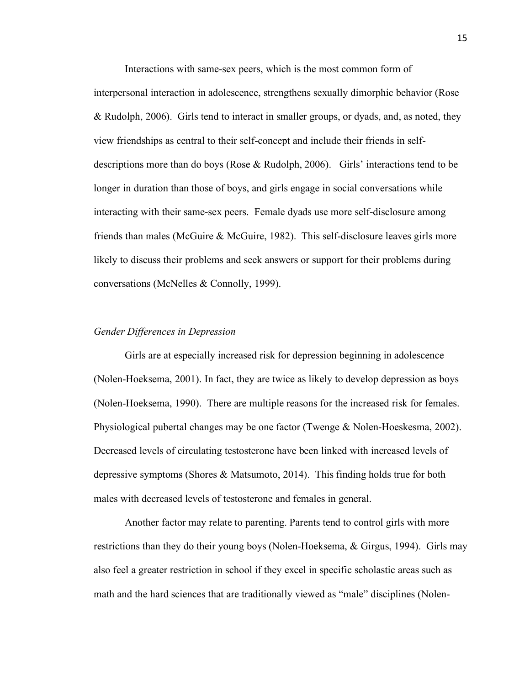Interactions with same-sex peers, which is the most common form of interpersonal interaction in adolescence, strengthens sexually dimorphic behavior (Rose & Rudolph, 2006). Girls tend to interact in smaller groups, or dyads, and, as noted, they view friendships as central to their self-concept and include their friends in selfdescriptions more than do boys (Rose & Rudolph, 2006). Girls' interactions tend to be longer in duration than those of boys, and girls engage in social conversations while interacting with their same-sex peers. Female dyads use more self-disclosure among friends than males (McGuire & McGuire, 1982). This self-disclosure leaves girls more likely to discuss their problems and seek answers or support for their problems during conversations (McNelles & Connolly, 1999).

#### *Gender Differences in Depression*

Girls are at especially increased risk for depression beginning in adolescence (Nolen-Hoeksema, 2001). In fact, they are twice as likely to develop depression as boys (Nolen-Hoeksema, 1990). There are multiple reasons for the increased risk for females. Physiological pubertal changes may be one factor (Twenge & Nolen-Hoeskesma, 2002). Decreased levels of circulating testosterone have been linked with increased levels of depressive symptoms (Shores & Matsumoto, 2014). This finding holds true for both males with decreased levels of testosterone and females in general.

Another factor may relate to parenting. Parents tend to control girls with more restrictions than they do their young boys (Nolen-Hoeksema, & Girgus, 1994). Girls may also feel a greater restriction in school if they excel in specific scholastic areas such as math and the hard sciences that are traditionally viewed as "male" disciplines (Nolen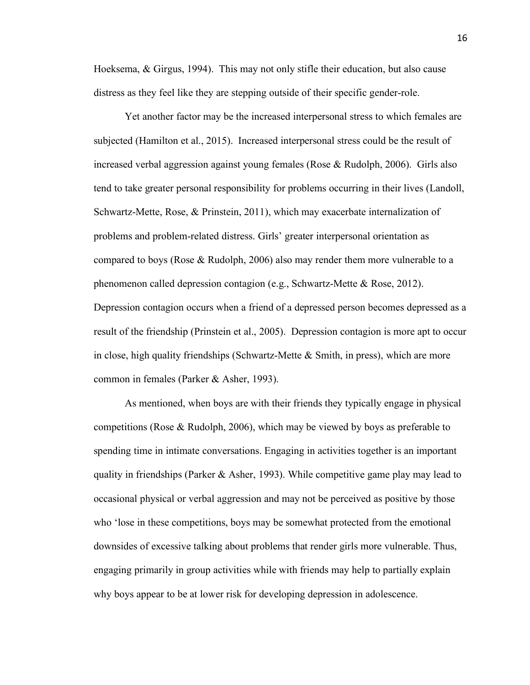Hoeksema, & Girgus, 1994). This may not only stifle their education, but also cause distress as they feel like they are stepping outside of their specific gender-role.

Yet another factor may be the increased interpersonal stress to which females are subjected (Hamilton et al., 2015). Increased interpersonal stress could be the result of increased verbal aggression against young females (Rose & Rudolph, 2006). Girls also tend to take greater personal responsibility for problems occurring in their lives (Landoll, Schwartz-Mette, Rose, & Prinstein, 2011), which may exacerbate internalization of problems and problem-related distress. Girls' greater interpersonal orientation as compared to boys (Rose & Rudolph, 2006) also may render them more vulnerable to a phenomenon called depression contagion (e.g., Schwartz-Mette & Rose, 2012). Depression contagion occurs when a friend of a depressed person becomes depressed as a result of the friendship (Prinstein et al., 2005). Depression contagion is more apt to occur in close, high quality friendships (Schwartz-Mette  $\&$  Smith, in press), which are more common in females (Parker & Asher, 1993).

As mentioned, when boys are with their friends they typically engage in physical competitions (Rose & Rudolph, 2006), which may be viewed by boys as preferable to spending time in intimate conversations. Engaging in activities together is an important quality in friendships (Parker & Asher, 1993). While competitive game play may lead to occasional physical or verbal aggression and may not be perceived as positive by those who 'lose in these competitions, boys may be somewhat protected from the emotional downsides of excessive talking about problems that render girls more vulnerable. Thus, engaging primarily in group activities while with friends may help to partially explain why boys appear to be at lower risk for developing depression in adolescence.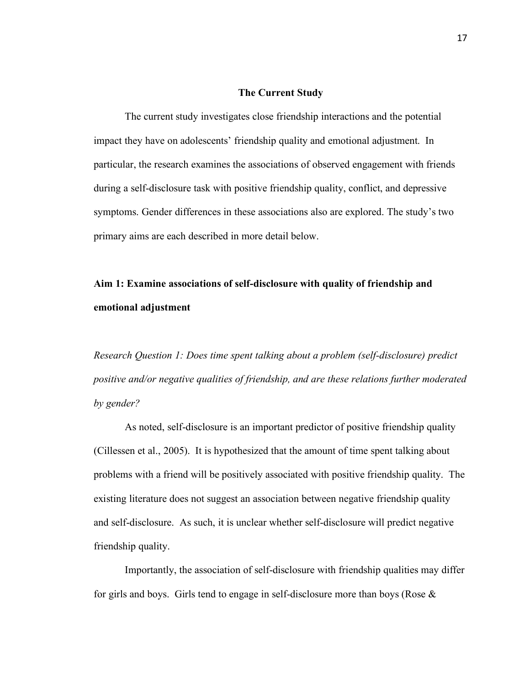#### **The Current Study**

The current study investigates close friendship interactions and the potential impact they have on adolescents' friendship quality and emotional adjustment. In particular, the research examines the associations of observed engagement with friends during a self-disclosure task with positive friendship quality, conflict, and depressive symptoms. Gender differences in these associations also are explored. The study's two primary aims are each described in more detail below.

## **Aim 1: Examine associations of self-disclosure with quality of friendship and emotional adjustment**

*Research Question 1: Does time spent talking about a problem (self-disclosure) predict positive and/or negative qualities of friendship, and are these relations further moderated by gender?*

As noted, self-disclosure is an important predictor of positive friendship quality (Cillessen et al., 2005). It is hypothesized that the amount of time spent talking about problems with a friend will be positively associated with positive friendship quality. The existing literature does not suggest an association between negative friendship quality and self-disclosure. As such, it is unclear whether self-disclosure will predict negative friendship quality.

Importantly, the association of self-disclosure with friendship qualities may differ for girls and boys. Girls tend to engage in self-disclosure more than boys (Rose  $\&$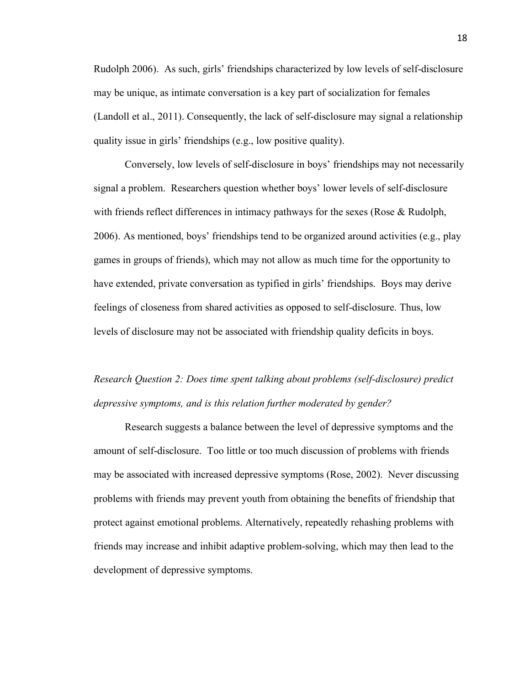Rudolph 2006). As such, girls' friendships characterized by low levels of self-disclosure may be unique, as intimate conversation is a key part of socialization for females (Landoll et al., 2011). Consequently, the lack of self-disclosure may signal a relationship quality issue in girls' friendships (e.g., low positive quality).

Conversely, low levels of self-disclosure in boys' friendships may not necessarily signal a problem. Researchers question whether boys' lower levels of self-disclosure with friends reflect differences in intimacy pathways for the sexes (Rose  $\&$  Rudolph, 2006). As mentioned, boys' friendships tend to be organized around activities (e.g., play games in groups of friends), which may not allow as much time for the opportunity to have extended, private conversation as typified in girls' friendships. Boys may derive feelings of closeness from shared activities as opposed to self-disclosure. Thus, low levels of disclosure may not be associated with friendship quality deficits in boys.

## *Research Question 2: Does time spent talking about problems (self-disclosure) predict depressive symptoms, and is this relation further moderated by gender?*

Research suggests a balance between the level of depressive symptoms and the amount of self-disclosure. Too little or too much discussion of problems with friends may be associated with increased depressive symptoms (Rose, 2002). Never discussing problems with friends may prevent youth from obtaining the benefits of friendship that protect against emotional problems. Alternatively, repeatedly rehashing problems with friends may increase and inhibit adaptive problem-solving, which may then lead to the development of depressive symptoms.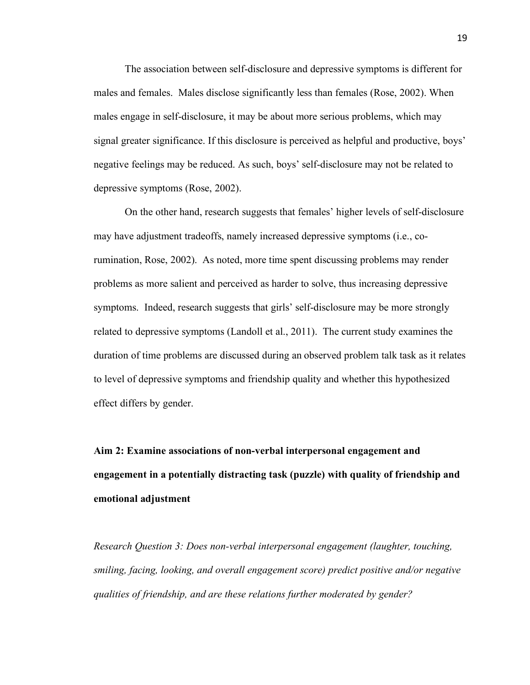The association between self-disclosure and depressive symptoms is different for males and females. Males disclose significantly less than females (Rose, 2002). When males engage in self-disclosure, it may be about more serious problems, which may signal greater significance. If this disclosure is perceived as helpful and productive, boys' negative feelings may be reduced. As such, boys' self-disclosure may not be related to depressive symptoms (Rose, 2002).

On the other hand, research suggests that females' higher levels of self-disclosure may have adjustment tradeoffs, namely increased depressive symptoms (i.e., corumination, Rose, 2002). As noted, more time spent discussing problems may render problems as more salient and perceived as harder to solve, thus increasing depressive symptoms. Indeed, research suggests that girls' self-disclosure may be more strongly related to depressive symptoms (Landoll et al., 2011). The current study examines the duration of time problems are discussed during an observed problem talk task as it relates to level of depressive symptoms and friendship quality and whether this hypothesized effect differs by gender.

**Aim 2: Examine associations of non-verbal interpersonal engagement and engagement in a potentially distracting task (puzzle) with quality of friendship and emotional adjustment**

*Research Question 3: Does non-verbal interpersonal engagement (laughter, touching, smiling, facing, looking, and overall engagement score) predict positive and/or negative qualities of friendship, and are these relations further moderated by gender?*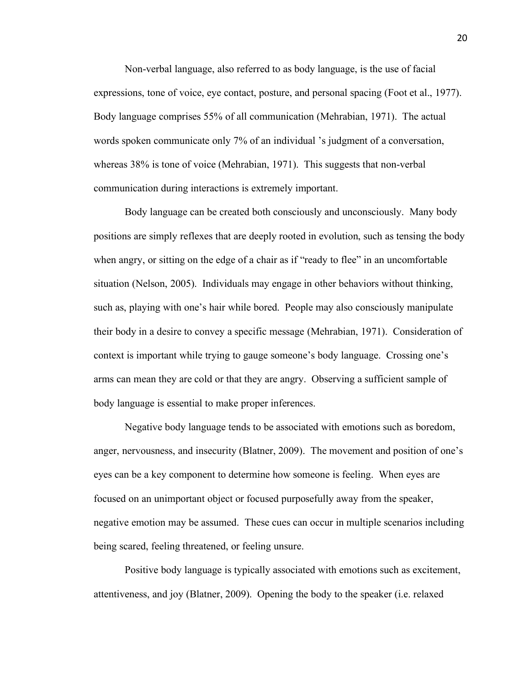Non-verbal language, also referred to as body language, is the use of facial expressions, tone of voice, eye contact, posture, and personal spacing (Foot et al., 1977). Body language comprises 55% of all communication (Mehrabian, 1971). The actual words spoken communicate only 7% of an individual 's judgment of a conversation, whereas 38% is tone of voice (Mehrabian, 1971). This suggests that non-verbal communication during interactions is extremely important.

Body language can be created both consciously and unconsciously. Many body positions are simply reflexes that are deeply rooted in evolution, such as tensing the body when angry, or sitting on the edge of a chair as if "ready to flee" in an uncomfortable situation (Nelson, 2005). Individuals may engage in other behaviors without thinking, such as, playing with one's hair while bored. People may also consciously manipulate their body in a desire to convey a specific message (Mehrabian, 1971). Consideration of context is important while trying to gauge someone's body language. Crossing one's arms can mean they are cold or that they are angry. Observing a sufficient sample of body language is essential to make proper inferences.

Negative body language tends to be associated with emotions such as boredom, anger, nervousness, and insecurity (Blatner, 2009). The movement and position of one's eyes can be a key component to determine how someone is feeling. When eyes are focused on an unimportant object or focused purposefully away from the speaker, negative emotion may be assumed. These cues can occur in multiple scenarios including being scared, feeling threatened, or feeling unsure.

Positive body language is typically associated with emotions such as excitement, attentiveness, and joy (Blatner, 2009). Opening the body to the speaker (i.e. relaxed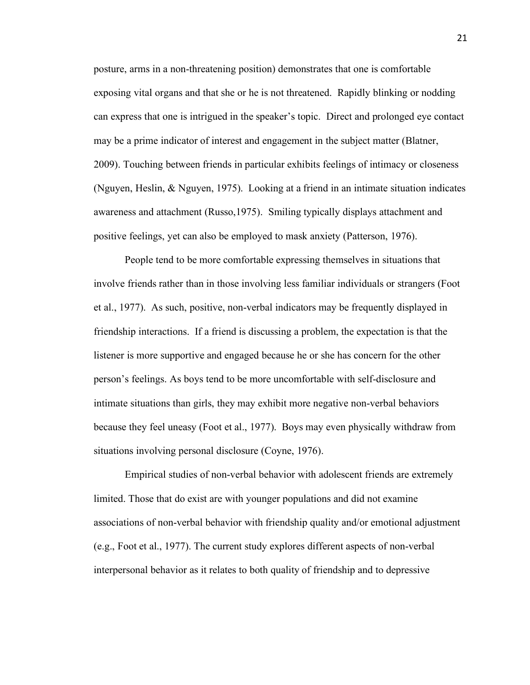posture, arms in a non-threatening position) demonstrates that one is comfortable exposing vital organs and that she or he is not threatened. Rapidly blinking or nodding can express that one is intrigued in the speaker's topic. Direct and prolonged eye contact may be a prime indicator of interest and engagement in the subject matter (Blatner, 2009). Touching between friends in particular exhibits feelings of intimacy or closeness (Nguyen, Heslin, & Nguyen, 1975). Looking at a friend in an intimate situation indicates awareness and attachment (Russo,1975). Smiling typically displays attachment and positive feelings, yet can also be employed to mask anxiety (Patterson, 1976).

People tend to be more comfortable expressing themselves in situations that involve friends rather than in those involving less familiar individuals or strangers (Foot et al., 1977). As such, positive, non-verbal indicators may be frequently displayed in friendship interactions. If a friend is discussing a problem, the expectation is that the listener is more supportive and engaged because he or she has concern for the other person's feelings. As boys tend to be more uncomfortable with self-disclosure and intimate situations than girls, they may exhibit more negative non-verbal behaviors because they feel uneasy (Foot et al., 1977). Boys may even physically withdraw from situations involving personal disclosure (Coyne, 1976).

Empirical studies of non-verbal behavior with adolescent friends are extremely limited. Those that do exist are with younger populations and did not examine associations of non-verbal behavior with friendship quality and/or emotional adjustment (e.g., Foot et al., 1977). The current study explores different aspects of non-verbal interpersonal behavior as it relates to both quality of friendship and to depressive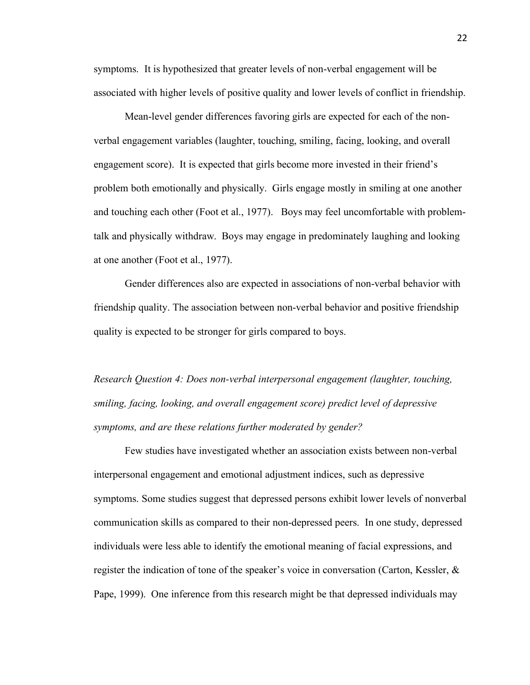symptoms. It is hypothesized that greater levels of non-verbal engagement will be associated with higher levels of positive quality and lower levels of conflict in friendship.

Mean-level gender differences favoring girls are expected for each of the nonverbal engagement variables (laughter, touching, smiling, facing, looking, and overall engagement score). It is expected that girls become more invested in their friend's problem both emotionally and physically. Girls engage mostly in smiling at one another and touching each other (Foot et al., 1977). Boys may feel uncomfortable with problemtalk and physically withdraw. Boys may engage in predominately laughing and looking at one another (Foot et al., 1977).

Gender differences also are expected in associations of non-verbal behavior with friendship quality. The association between non-verbal behavior and positive friendship quality is expected to be stronger for girls compared to boys.

*Research Question 4: Does non-verbal interpersonal engagement (laughter, touching, smiling, facing, looking, and overall engagement score) predict level of depressive symptoms, and are these relations further moderated by gender?*

Few studies have investigated whether an association exists between non-verbal interpersonal engagement and emotional adjustment indices, such as depressive symptoms. Some studies suggest that depressed persons exhibit lower levels of nonverbal communication skills as compared to their non-depressed peers. In one study, depressed individuals were less able to identify the emotional meaning of facial expressions, and register the indication of tone of the speaker's voice in conversation (Carton, Kessler, & Pape, 1999). One inference from this research might be that depressed individuals may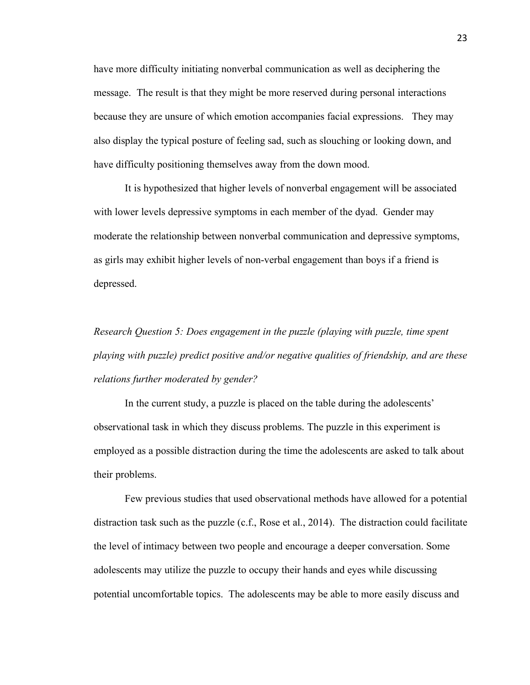have more difficulty initiating nonverbal communication as well as deciphering the message. The result is that they might be more reserved during personal interactions because they are unsure of which emotion accompanies facial expressions. They may also display the typical posture of feeling sad, such as slouching or looking down, and have difficulty positioning themselves away from the down mood.

It is hypothesized that higher levels of nonverbal engagement will be associated with lower levels depressive symptoms in each member of the dyad. Gender may moderate the relationship between nonverbal communication and depressive symptoms, as girls may exhibit higher levels of non-verbal engagement than boys if a friend is depressed.

*Research Question 5: Does engagement in the puzzle (playing with puzzle, time spent playing with puzzle) predict positive and/or negative qualities of friendship, and are these relations further moderated by gender?* 

In the current study, a puzzle is placed on the table during the adolescents' observational task in which they discuss problems. The puzzle in this experiment is employed as a possible distraction during the time the adolescents are asked to talk about their problems.

Few previous studies that used observational methods have allowed for a potential distraction task such as the puzzle (c.f., Rose et al., 2014). The distraction could facilitate the level of intimacy between two people and encourage a deeper conversation. Some adolescents may utilize the puzzle to occupy their hands and eyes while discussing potential uncomfortable topics. The adolescents may be able to more easily discuss and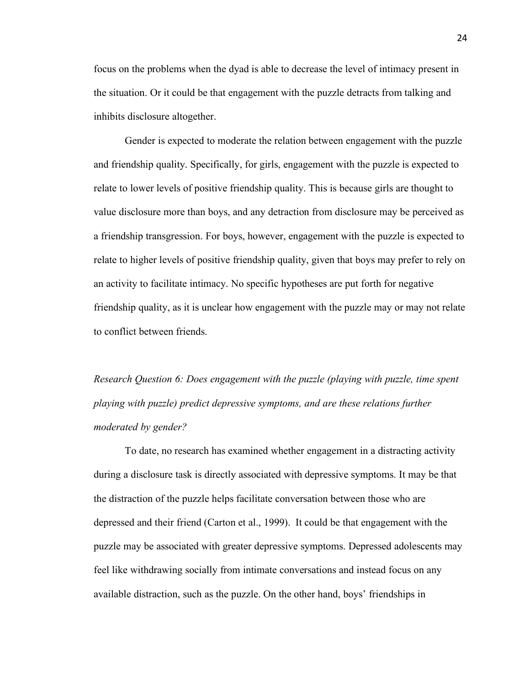focus on the problems when the dyad is able to decrease the level of intimacy present in the situation. Or it could be that engagement with the puzzle detracts from talking and inhibits disclosure altogether.

Gender is expected to moderate the relation between engagement with the puzzle and friendship quality. Specifically, for girls, engagement with the puzzle is expected to relate to lower levels of positive friendship quality. This is because girls are thought to value disclosure more than boys, and any detraction from disclosure may be perceived as a friendship transgression. For boys, however, engagement with the puzzle is expected to relate to higher levels of positive friendship quality, given that boys may prefer to rely on an activity to facilitate intimacy. No specific hypotheses are put forth for negative friendship quality, as it is unclear how engagement with the puzzle may or may not relate to conflict between friends.

*Research Question 6: Does engagement with the puzzle (playing with puzzle, time spent playing with puzzle) predict depressive symptoms, and are these relations further moderated by gender?*

To date, no research has examined whether engagement in a distracting activity during a disclosure task is directly associated with depressive symptoms. It may be that the distraction of the puzzle helps facilitate conversation between those who are depressed and their friend (Carton et al., 1999). It could be that engagement with the puzzle may be associated with greater depressive symptoms. Depressed adolescents may feel like withdrawing socially from intimate conversations and instead focus on any available distraction, such as the puzzle. On the other hand, boys' friendships in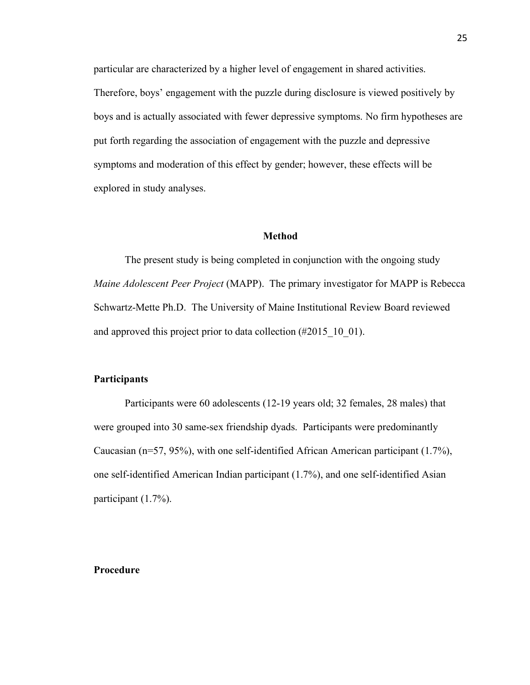particular are characterized by a higher level of engagement in shared activities. Therefore, boys' engagement with the puzzle during disclosure is viewed positively by boys and is actually associated with fewer depressive symptoms. No firm hypotheses are put forth regarding the association of engagement with the puzzle and depressive symptoms and moderation of this effect by gender; however, these effects will be explored in study analyses.

#### **Method**

The present study is being completed in conjunction with the ongoing study *Maine Adolescent Peer Project* (MAPP). The primary investigator for MAPP is Rebecca Schwartz-Mette Ph.D. The University of Maine Institutional Review Board reviewed and approved this project prior to data collection (#2015 10 01).

### **Participants**

Participants were 60 adolescents (12-19 years old; 32 females, 28 males) that were grouped into 30 same-sex friendship dyads. Participants were predominantly Caucasian (n=57, 95%), with one self-identified African American participant (1.7%), one self-identified American Indian participant (1.7%), and one self-identified Asian participant (1.7%).

#### **Procedure**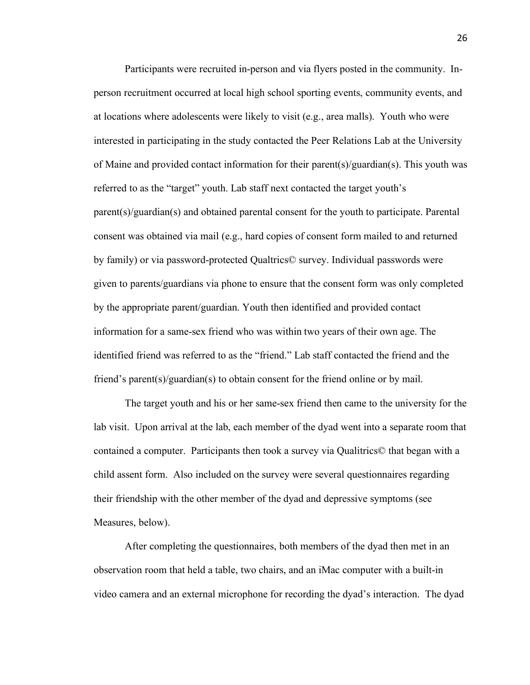Participants were recruited in-person and via flyers posted in the community. Inperson recruitment occurred at local high school sporting events, community events, and at locations where adolescents were likely to visit (e.g., area malls). Youth who were interested in participating in the study contacted the Peer Relations Lab at the University of Maine and provided contact information for their parent(s)/guardian(s). This youth was referred to as the "target" youth. Lab staff next contacted the target youth's parent(s)/guardian(s) and obtained parental consent for the youth to participate. Parental consent was obtained via mail (e.g., hard copies of consent form mailed to and returned by family) or via password-protected Qualtrics© survey. Individual passwords were given to parents/guardians via phone to ensure that the consent form was only completed by the appropriate parent/guardian. Youth then identified and provided contact information for a same-sex friend who was within two years of their own age. The identified friend was referred to as the "friend." Lab staff contacted the friend and the friend's parent(s)/guardian(s) to obtain consent for the friend online or by mail.

The target youth and his or her same-sex friend then came to the university for the lab visit. Upon arrival at the lab, each member of the dyad went into a separate room that contained a computer. Participants then took a survey via Qualitrics© that began with a child assent form. Also included on the survey were several questionnaires regarding their friendship with the other member of the dyad and depressive symptoms (see Measures, below).

After completing the questionnaires, both members of the dyad then met in an observation room that held a table, two chairs, and an iMac computer with a built-in video camera and an external microphone for recording the dyad's interaction. The dyad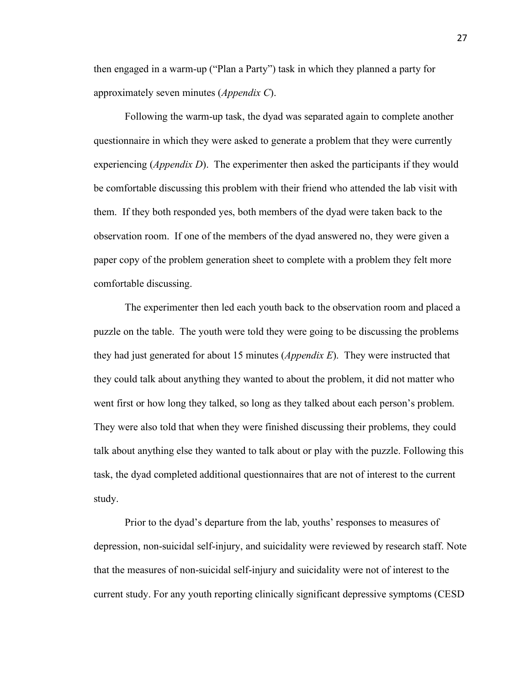then engaged in a warm-up ("Plan a Party") task in which they planned a party for approximately seven minutes (*Appendix C*).

Following the warm-up task, the dyad was separated again to complete another questionnaire in which they were asked to generate a problem that they were currently experiencing (*Appendix D*). The experimenter then asked the participants if they would be comfortable discussing this problem with their friend who attended the lab visit with them. If they both responded yes, both members of the dyad were taken back to the observation room. If one of the members of the dyad answered no, they were given a paper copy of the problem generation sheet to complete with a problem they felt more comfortable discussing.

The experimenter then led each youth back to the observation room and placed a puzzle on the table. The youth were told they were going to be discussing the problems they had just generated for about 15 minutes (*Appendix E*). They were instructed that they could talk about anything they wanted to about the problem, it did not matter who went first or how long they talked, so long as they talked about each person's problem. They were also told that when they were finished discussing their problems, they could talk about anything else they wanted to talk about or play with the puzzle. Following this task, the dyad completed additional questionnaires that are not of interest to the current study.

Prior to the dyad's departure from the lab, youths' responses to measures of depression, non-suicidal self-injury, and suicidality were reviewed by research staff. Note that the measures of non-suicidal self-injury and suicidality were not of interest to the current study. For any youth reporting clinically significant depressive symptoms (CESD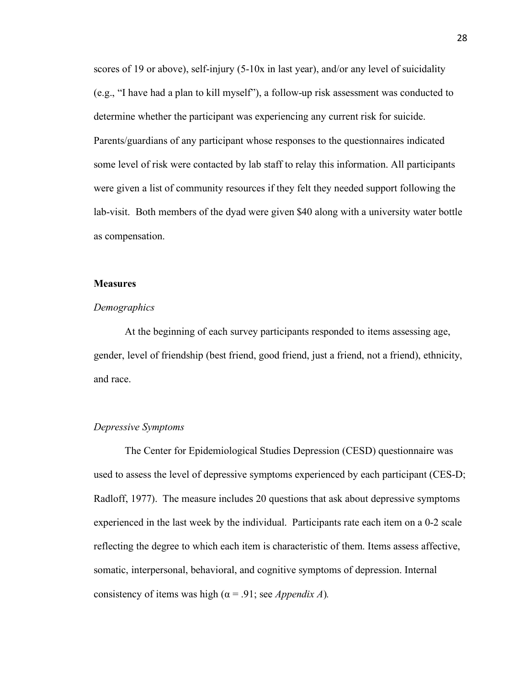scores of 19 or above), self-injury (5-10x in last year), and/or any level of suicidality (e.g., "I have had a plan to kill myself"), a follow-up risk assessment was conducted to determine whether the participant was experiencing any current risk for suicide. Parents/guardians of any participant whose responses to the questionnaires indicated some level of risk were contacted by lab staff to relay this information. All participants were given a list of community resources if they felt they needed support following the lab-visit. Both members of the dyad were given \$40 along with a university water bottle as compensation.

#### **Measures**

#### *Demographics*

At the beginning of each survey participants responded to items assessing age, gender, level of friendship (best friend, good friend, just a friend, not a friend), ethnicity, and race.

#### *Depressive Symptoms*

The Center for Epidemiological Studies Depression (CESD) questionnaire was used to assess the level of depressive symptoms experienced by each participant (CES-D; Radloff, 1977). The measure includes 20 questions that ask about depressive symptoms experienced in the last week by the individual. Participants rate each item on a 0-2 scale reflecting the degree to which each item is characteristic of them. Items assess affective, somatic, interpersonal, behavioral, and cognitive symptoms of depression. Internal consistency of items was high ( $\alpha$  = .91; see *Appendix A*).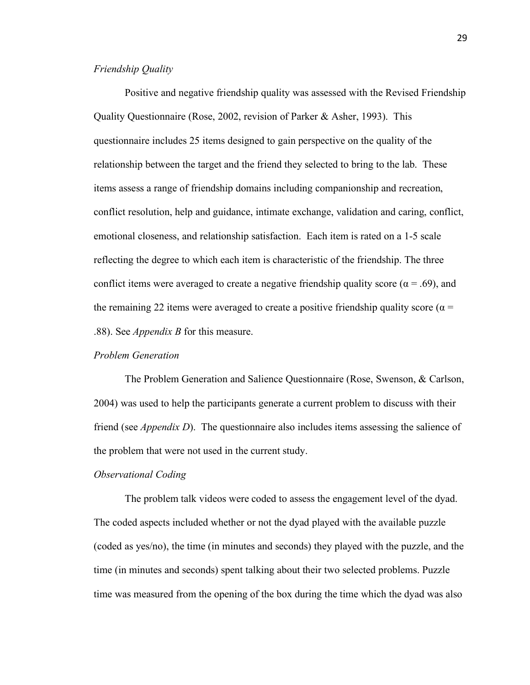#### *Friendship Quality*

Positive and negative friendship quality was assessed with the Revised Friendship Quality Questionnaire (Rose, 2002, revision of Parker & Asher, 1993). This questionnaire includes 25 items designed to gain perspective on the quality of the relationship between the target and the friend they selected to bring to the lab. These items assess a range of friendship domains including companionship and recreation, conflict resolution, help and guidance, intimate exchange, validation and caring, conflict, emotional closeness, and relationship satisfaction. Each item is rated on a 1-5 scale reflecting the degree to which each item is characteristic of the friendship. The three conflict items were averaged to create a negative friendship quality score ( $\alpha$  = .69), and the remaining 22 items were averaged to create a positive friendship quality score ( $\alpha$  = .88). See *Appendix B* for this measure.

#### *Problem Generation*

The Problem Generation and Salience Questionnaire (Rose, Swenson, & Carlson, 2004) was used to help the participants generate a current problem to discuss with their friend (see *Appendix D*). The questionnaire also includes items assessing the salience of the problem that were not used in the current study.

#### *Observational Coding*

The problem talk videos were coded to assess the engagement level of the dyad. The coded aspects included whether or not the dyad played with the available puzzle (coded as yes/no), the time (in minutes and seconds) they played with the puzzle, and the time (in minutes and seconds) spent talking about their two selected problems. Puzzle time was measured from the opening of the box during the time which the dyad was also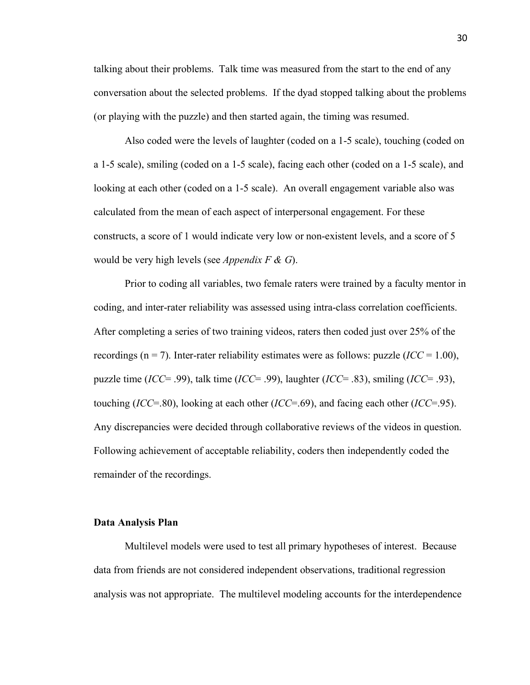talking about their problems. Talk time was measured from the start to the end of any conversation about the selected problems. If the dyad stopped talking about the problems (or playing with the puzzle) and then started again, the timing was resumed.

Also coded were the levels of laughter (coded on a 1-5 scale), touching (coded on a 1-5 scale), smiling (coded on a 1-5 scale), facing each other (coded on a 1-5 scale), and looking at each other (coded on a 1-5 scale). An overall engagement variable also was calculated from the mean of each aspect of interpersonal engagement. For these constructs, a score of 1 would indicate very low or non-existent levels, and a score of 5 would be very high levels (see *Appendix F & G*).

Prior to coding all variables, two female raters were trained by a faculty mentor in coding, and inter-rater reliability was assessed using intra-class correlation coefficients. After completing a series of two training videos, raters then coded just over 25% of the recordings ( $n = 7$ ). Inter-rater reliability estimates were as follows: puzzle (*ICC* = 1.00), puzzle time (*ICC*= .99), talk time (*ICC*= .99), laughter (*ICC*= .83), smiling (*ICC*= .93), touching (*ICC*=.80), looking at each other (*ICC*=.69), and facing each other (*ICC*=.95). Any discrepancies were decided through collaborative reviews of the videos in question. Following achievement of acceptable reliability, coders then independently coded the remainder of the recordings.

### **Data Analysis Plan**

Multilevel models were used to test all primary hypotheses of interest. Because data from friends are not considered independent observations, traditional regression analysis was not appropriate. The multilevel modeling accounts for the interdependence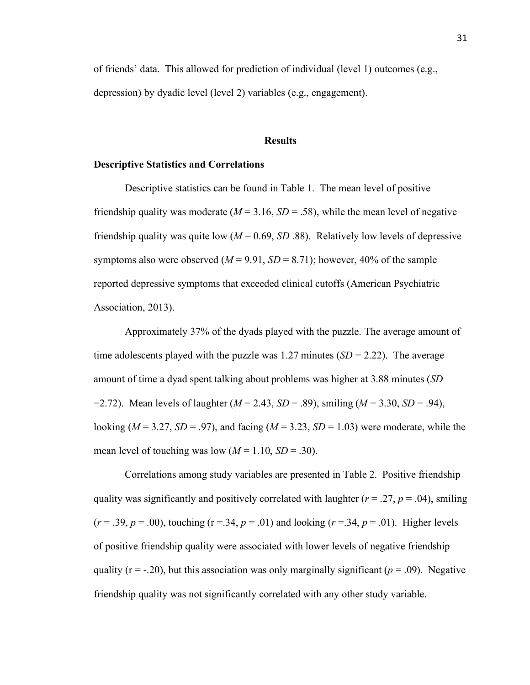of friends' data. This allowed for prediction of individual (level 1) outcomes (e.g., depression) by dyadic level (level 2) variables (e.g., engagement).

#### **Results**

#### **Descriptive Statistics and Correlations**

Descriptive statistics can be found in Table 1. The mean level of positive friendship quality was moderate  $(M = 3.16, SD = .58)$ , while the mean level of negative friendship quality was quite low  $(M = 0.69, SD.88)$ . Relatively low levels of depressive symptoms also were observed  $(M = 9.91, SD = 8.71)$ ; however, 40% of the sample reported depressive symptoms that exceeded clinical cutoffs (American Psychiatric Association, 2013).

Approximately 37% of the dyads played with the puzzle. The average amount of time adolescents played with the puzzle was 1.27 minutes  $(SD = 2.22)$ . The average amount of time a dyad spent talking about problems was higher at 3.88 minutes (*SD* =2.72). Mean levels of laughter (*M* = 2.43, *SD* = .89), smiling (*M* = 3.30, *SD* = .94), looking ( $M = 3.27$ ,  $SD = .97$ ), and facing ( $M = 3.23$ ,  $SD = 1.03$ ) were moderate, while the mean level of touching was low  $(M = 1.10, SD = .30)$ .

Correlations among study variables are presented in Table 2. Positive friendship quality was significantly and positively correlated with laughter ( $r = .27$ ,  $p = .04$ ), smiling  $(r = .39, p = .00)$ , touching  $(r = .34, p = .01)$  and looking  $(r = .34, p = .01)$ . Higher levels of positive friendship quality were associated with lower levels of negative friendship quality ( $r = -20$ ), but this association was only marginally significant ( $p = 0.09$ ). Negative friendship quality was not significantly correlated with any other study variable.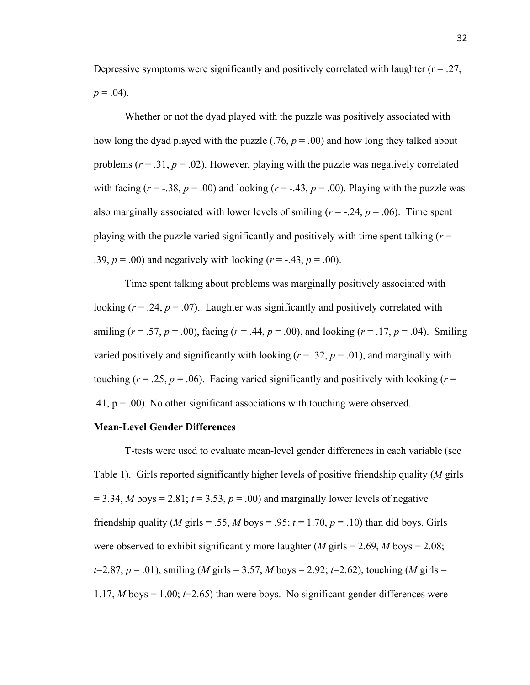Depressive symptoms were significantly and positively correlated with laughter  $(r = .27)$ .  $p = .04$ ).

Whether or not the dyad played with the puzzle was positively associated with how long the dyad played with the puzzle  $(.76, p = .00)$  and how long they talked about problems  $(r = .31, p = .02)$ . However, playing with the puzzle was negatively correlated with facing  $(r = -.38, p = .00)$  and looking  $(r = -.43, p = .00)$ . Playing with the puzzle was also marginally associated with lower levels of smiling  $(r = -.24, p = .06)$ . Time spent playing with the puzzle varied significantly and positively with time spent talking  $(r =$ .39,  $p = .00$ ) and negatively with looking  $(r = -.43, p = .00)$ .

Time spent talking about problems was marginally positively associated with looking  $(r = .24, p = .07)$ . Laughter was significantly and positively correlated with smiling ( $r = .57$ ,  $p = .00$ ), facing ( $r = .44$ ,  $p = .00$ ), and looking ( $r = .17$ ,  $p = .04$ ). Smiling varied positively and significantly with looking  $(r = .32, p = .01)$ , and marginally with touching ( $r = .25$ ,  $p = .06$ ). Facing varied significantly and positively with looking ( $r =$ .41,  $p = .00$ ). No other significant associations with touching were observed.

#### **Mean-Level Gender Differences**

T-tests were used to evaluate mean-level gender differences in each variable (see Table 1). Girls reported significantly higher levels of positive friendship quality (*M* girls  $= 3.34$ , *M* boys  $= 2.81$ ;  $t = 3.53$ ,  $p = .00$ ) and marginally lower levels of negative friendship quality (*M* girls = .55, *M* boys = .95;  $t = 1.70$ ,  $p = .10$ ) than did boys. Girls were observed to exhibit significantly more laughter  $(M \text{ girls} = 2.69, M \text{ boys} = 2.08)$ ; *t*=2.87, *p* = .01), smiling (*M* girls = 3.57, *M* boys = 2.92; *t*=2.62), touching (*M* girls = 1.17, *M* boys  $= 1.00$ ;  $t = 2.65$ ) than were boys. No significant gender differences were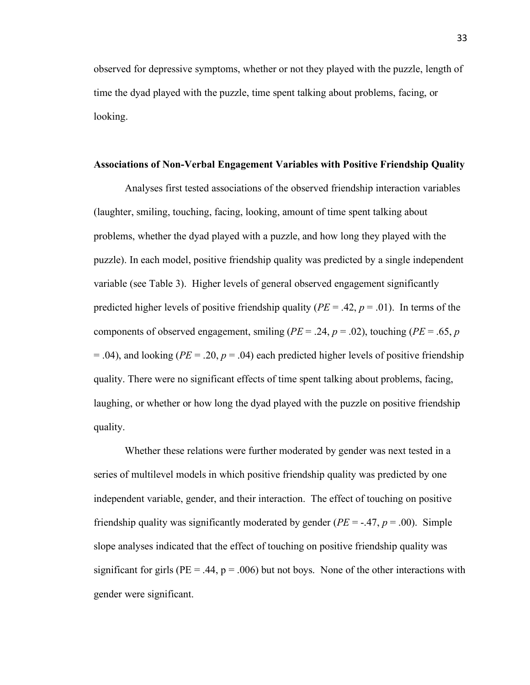observed for depressive symptoms, whether or not they played with the puzzle, length of time the dyad played with the puzzle, time spent talking about problems, facing, or looking.

#### **Associations of Non-Verbal Engagement Variables with Positive Friendship Quality**

Analyses first tested associations of the observed friendship interaction variables (laughter, smiling, touching, facing, looking, amount of time spent talking about problems, whether the dyad played with a puzzle, and how long they played with the puzzle). In each model, positive friendship quality was predicted by a single independent variable (see Table 3). Higher levels of general observed engagement significantly predicted higher levels of positive friendship quality ( $PE = .42$ ,  $p = .01$ ). In terms of the components of observed engagement, smiling ( $PE = .24$ ,  $p = .02$ ), touching ( $PE = .65$ ,  $p = .02$ )  $= .04$ ), and looking (*PE*  $= .20$ ,  $p = .04$ ) each predicted higher levels of positive friendship quality. There were no significant effects of time spent talking about problems, facing, laughing, or whether or how long the dyad played with the puzzle on positive friendship quality.

Whether these relations were further moderated by gender was next tested in a series of multilevel models in which positive friendship quality was predicted by one independent variable, gender, and their interaction. The effect of touching on positive friendship quality was significantly moderated by gender ( $PE = -.47$ ,  $p = .00$ ). Simple slope analyses indicated that the effect of touching on positive friendship quality was significant for girls ( $PE = .44$ ,  $p = .006$ ) but not boys. None of the other interactions with gender were significant.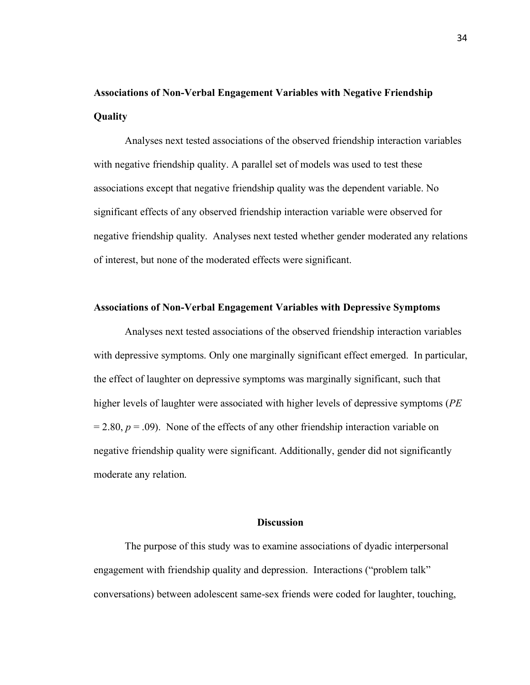# **Associations of Non-Verbal Engagement Variables with Negative Friendship Quality**

Analyses next tested associations of the observed friendship interaction variables with negative friendship quality. A parallel set of models was used to test these associations except that negative friendship quality was the dependent variable. No significant effects of any observed friendship interaction variable were observed for negative friendship quality. Analyses next tested whether gender moderated any relations of interest, but none of the moderated effects were significant.

### **Associations of Non-Verbal Engagement Variables with Depressive Symptoms**

Analyses next tested associations of the observed friendship interaction variables with depressive symptoms. Only one marginally significant effect emerged. In particular, the effect of laughter on depressive symptoms was marginally significant, such that higher levels of laughter were associated with higher levels of depressive symptoms (*PE*  $= 2.80, p = .09$ ). None of the effects of any other friendship interaction variable on negative friendship quality were significant. Additionally, gender did not significantly moderate any relation.

### **Discussion**

The purpose of this study was to examine associations of dyadic interpersonal engagement with friendship quality and depression. Interactions ("problem talk" conversations) between adolescent same-sex friends were coded for laughter, touching,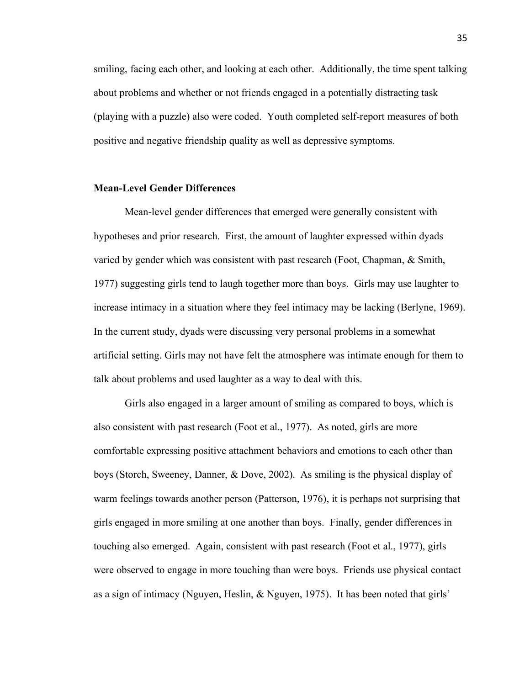smiling, facing each other, and looking at each other. Additionally, the time spent talking about problems and whether or not friends engaged in a potentially distracting task (playing with a puzzle) also were coded. Youth completed self-report measures of both positive and negative friendship quality as well as depressive symptoms.

### **Mean-Level Gender Differences**

Mean-level gender differences that emerged were generally consistent with hypotheses and prior research. First, the amount of laughter expressed within dyads varied by gender which was consistent with past research (Foot, Chapman, & Smith, 1977) suggesting girls tend to laugh together more than boys. Girls may use laughter to increase intimacy in a situation where they feel intimacy may be lacking (Berlyne, 1969). In the current study, dyads were discussing very personal problems in a somewhat artificial setting. Girls may not have felt the atmosphere was intimate enough for them to talk about problems and used laughter as a way to deal with this.

Girls also engaged in a larger amount of smiling as compared to boys, which is also consistent with past research (Foot et al., 1977). As noted, girls are more comfortable expressing positive attachment behaviors and emotions to each other than boys (Storch, Sweeney, Danner, & Dove, 2002). As smiling is the physical display of warm feelings towards another person (Patterson, 1976), it is perhaps not surprising that girls engaged in more smiling at one another than boys. Finally, gender differences in touching also emerged. Again, consistent with past research (Foot et al., 1977), girls were observed to engage in more touching than were boys. Friends use physical contact as a sign of intimacy (Nguyen, Heslin, & Nguyen, 1975). It has been noted that girls'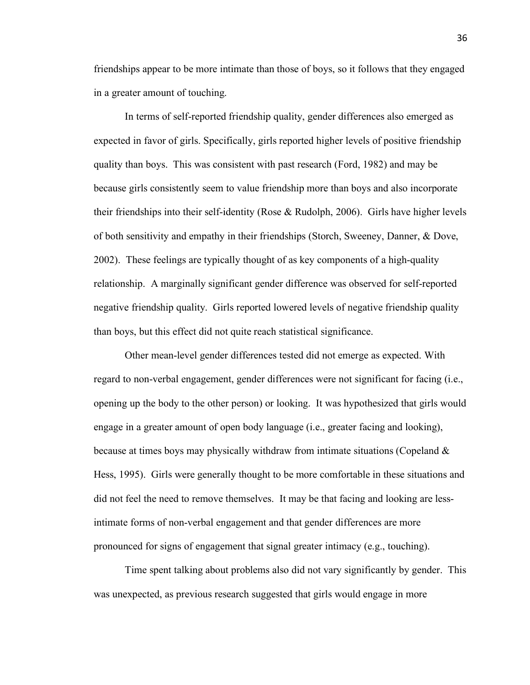friendships appear to be more intimate than those of boys, so it follows that they engaged in a greater amount of touching.

In terms of self-reported friendship quality, gender differences also emerged as expected in favor of girls. Specifically, girls reported higher levels of positive friendship quality than boys. This was consistent with past research (Ford, 1982) and may be because girls consistently seem to value friendship more than boys and also incorporate their friendships into their self-identity (Rose  $\&$  Rudolph, 2006). Girls have higher levels of both sensitivity and empathy in their friendships (Storch, Sweeney, Danner, & Dove, 2002). These feelings are typically thought of as key components of a high-quality relationship. A marginally significant gender difference was observed for self-reported negative friendship quality. Girls reported lowered levels of negative friendship quality than boys, but this effect did not quite reach statistical significance.

Other mean-level gender differences tested did not emerge as expected. With regard to non-verbal engagement, gender differences were not significant for facing (i.e., opening up the body to the other person) or looking. It was hypothesized that girls would engage in a greater amount of open body language (i.e., greater facing and looking), because at times boys may physically withdraw from intimate situations (Copeland  $\&$ Hess, 1995). Girls were generally thought to be more comfortable in these situations and did not feel the need to remove themselves. It may be that facing and looking are lessintimate forms of non-verbal engagement and that gender differences are more pronounced for signs of engagement that signal greater intimacy (e.g., touching).

Time spent talking about problems also did not vary significantly by gender. This was unexpected, as previous research suggested that girls would engage in more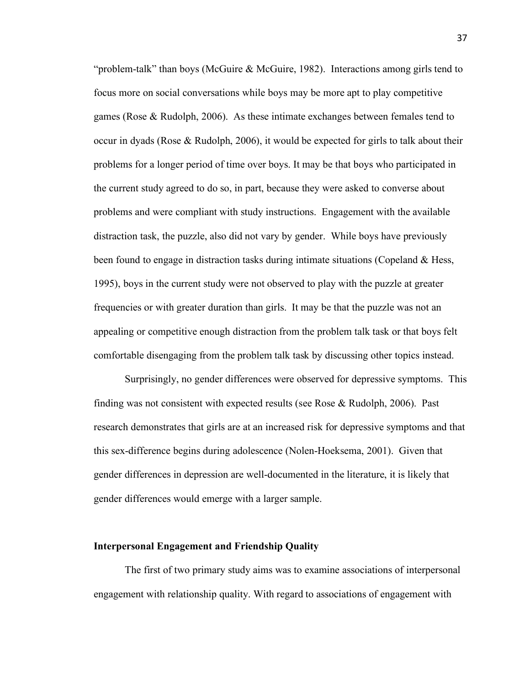"problem-talk" than boys (McGuire & McGuire, 1982). Interactions among girls tend to focus more on social conversations while boys may be more apt to play competitive games (Rose & Rudolph, 2006). As these intimate exchanges between females tend to occur in dyads (Rose & Rudolph, 2006), it would be expected for girls to talk about their problems for a longer period of time over boys. It may be that boys who participated in the current study agreed to do so, in part, because they were asked to converse about problems and were compliant with study instructions. Engagement with the available distraction task, the puzzle, also did not vary by gender. While boys have previously been found to engage in distraction tasks during intimate situations (Copeland  $\&$  Hess, 1995), boys in the current study were not observed to play with the puzzle at greater frequencies or with greater duration than girls. It may be that the puzzle was not an appealing or competitive enough distraction from the problem talk task or that boys felt comfortable disengaging from the problem talk task by discussing other topics instead.

Surprisingly, no gender differences were observed for depressive symptoms. This finding was not consistent with expected results (see Rose & Rudolph, 2006). Past research demonstrates that girls are at an increased risk for depressive symptoms and that this sex-difference begins during adolescence (Nolen-Hoeksema, 2001). Given that gender differences in depression are well-documented in the literature, it is likely that gender differences would emerge with a larger sample.

#### **Interpersonal Engagement and Friendship Quality**

The first of two primary study aims was to examine associations of interpersonal engagement with relationship quality. With regard to associations of engagement with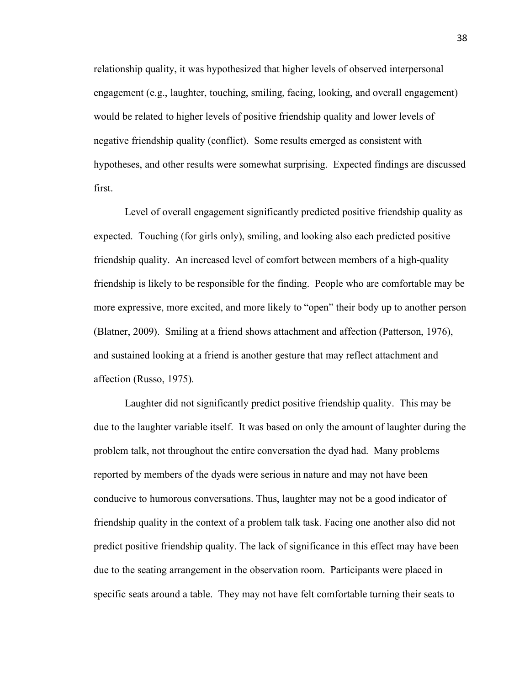relationship quality, it was hypothesized that higher levels of observed interpersonal engagement (e.g., laughter, touching, smiling, facing, looking, and overall engagement) would be related to higher levels of positive friendship quality and lower levels of negative friendship quality (conflict). Some results emerged as consistent with hypotheses, and other results were somewhat surprising. Expected findings are discussed first.

Level of overall engagement significantly predicted positive friendship quality as expected. Touching (for girls only), smiling, and looking also each predicted positive friendship quality. An increased level of comfort between members of a high-quality friendship is likely to be responsible for the finding. People who are comfortable may be more expressive, more excited, and more likely to "open" their body up to another person (Blatner, 2009). Smiling at a friend shows attachment and affection (Patterson, 1976), and sustained looking at a friend is another gesture that may reflect attachment and affection (Russo, 1975).

Laughter did not significantly predict positive friendship quality. This may be due to the laughter variable itself. It was based on only the amount of laughter during the problem talk, not throughout the entire conversation the dyad had. Many problems reported by members of the dyads were serious in nature and may not have been conducive to humorous conversations. Thus, laughter may not be a good indicator of friendship quality in the context of a problem talk task. Facing one another also did not predict positive friendship quality. The lack of significance in this effect may have been due to the seating arrangement in the observation room. Participants were placed in specific seats around a table. They may not have felt comfortable turning their seats to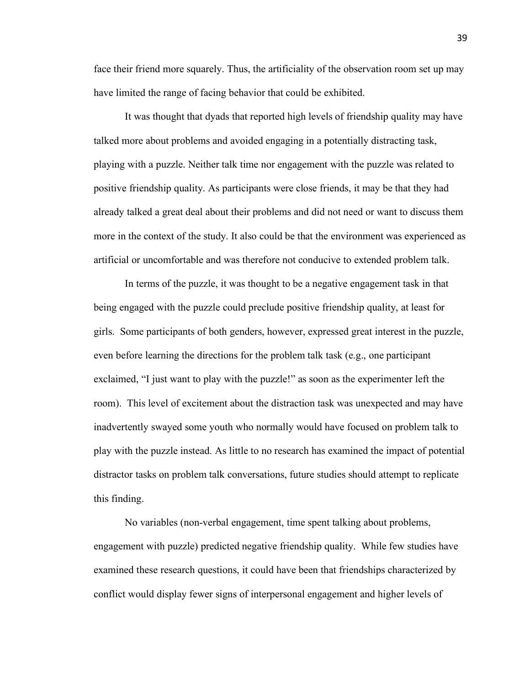face their friend more squarely. Thus, the artificiality of the observation room set up may have limited the range of facing behavior that could be exhibited.

It was thought that dyads that reported high levels of friendship quality may have talked more about problems and avoided engaging in a potentially distracting task, playing with a puzzle. Neither talk time nor engagement with the puzzle was related to positive friendship quality. As participants were close friends, it may be that they had already talked a great deal about their problems and did not need or want to discuss them more in the context of the study. It also could be that the environment was experienced as artificial or uncomfortable and was therefore not conducive to extended problem talk.

In terms of the puzzle, it was thought to be a negative engagement task in that being engaged with the puzzle could preclude positive friendship quality, at least for girls. Some participants of both genders, however, expressed great interest in the puzzle, even before learning the directions for the problem talk task (e.g., one participant exclaimed, "I just want to play with the puzzle!" as soon as the experimenter left the room). This level of excitement about the distraction task was unexpected and may have inadvertently swayed some youth who normally would have focused on problem talk to play with the puzzle instead. As little to no research has examined the impact of potential distractor tasks on problem talk conversations, future studies should attempt to replicate this finding.

No variables (non-verbal engagement, time spent talking about problems, engagement with puzzle) predicted negative friendship quality. While few studies have examined these research questions, it could have been that friendships characterized by conflict would display fewer signs of interpersonal engagement and higher levels of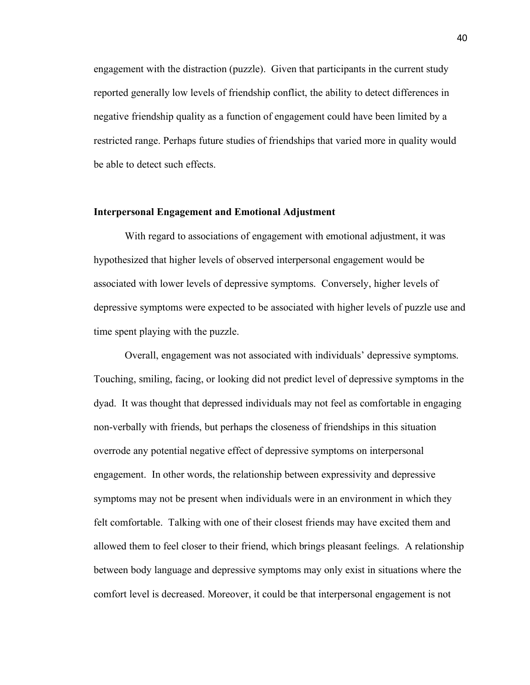engagement with the distraction (puzzle). Given that participants in the current study reported generally low levels of friendship conflict, the ability to detect differences in negative friendship quality as a function of engagement could have been limited by a restricted range. Perhaps future studies of friendships that varied more in quality would be able to detect such effects.

### **Interpersonal Engagement and Emotional Adjustment**

With regard to associations of engagement with emotional adjustment, it was hypothesized that higher levels of observed interpersonal engagement would be associated with lower levels of depressive symptoms. Conversely, higher levels of depressive symptoms were expected to be associated with higher levels of puzzle use and time spent playing with the puzzle.

Overall, engagement was not associated with individuals' depressive symptoms. Touching, smiling, facing, or looking did not predict level of depressive symptoms in the dyad. It was thought that depressed individuals may not feel as comfortable in engaging non-verbally with friends, but perhaps the closeness of friendships in this situation overrode any potential negative effect of depressive symptoms on interpersonal engagement. In other words, the relationship between expressivity and depressive symptoms may not be present when individuals were in an environment in which they felt comfortable. Talking with one of their closest friends may have excited them and allowed them to feel closer to their friend, which brings pleasant feelings. A relationship between body language and depressive symptoms may only exist in situations where the comfort level is decreased. Moreover, it could be that interpersonal engagement is not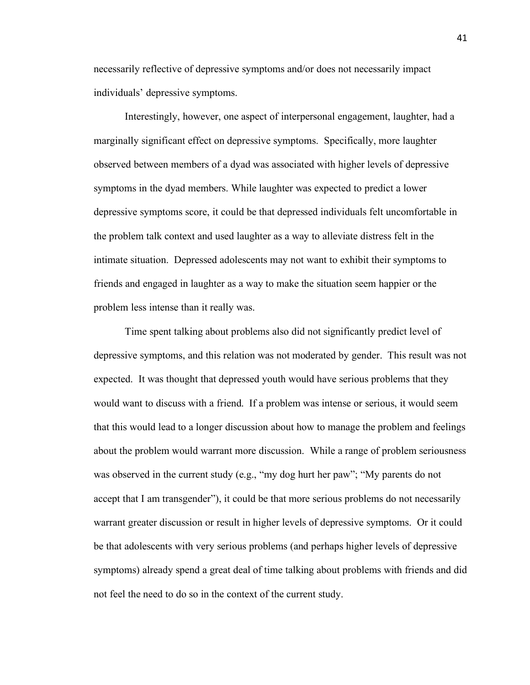necessarily reflective of depressive symptoms and/or does not necessarily impact individuals' depressive symptoms.

Interestingly, however, one aspect of interpersonal engagement, laughter, had a marginally significant effect on depressive symptoms. Specifically, more laughter observed between members of a dyad was associated with higher levels of depressive symptoms in the dyad members. While laughter was expected to predict a lower depressive symptoms score, it could be that depressed individuals felt uncomfortable in the problem talk context and used laughter as a way to alleviate distress felt in the intimate situation. Depressed adolescents may not want to exhibit their symptoms to friends and engaged in laughter as a way to make the situation seem happier or the problem less intense than it really was.

Time spent talking about problems also did not significantly predict level of depressive symptoms, and this relation was not moderated by gender. This result was not expected. It was thought that depressed youth would have serious problems that they would want to discuss with a friend. If a problem was intense or serious, it would seem that this would lead to a longer discussion about how to manage the problem and feelings about the problem would warrant more discussion. While a range of problem seriousness was observed in the current study (e.g., "my dog hurt her paw"; "My parents do not accept that I am transgender"), it could be that more serious problems do not necessarily warrant greater discussion or result in higher levels of depressive symptoms. Or it could be that adolescents with very serious problems (and perhaps higher levels of depressive symptoms) already spend a great deal of time talking about problems with friends and did not feel the need to do so in the context of the current study.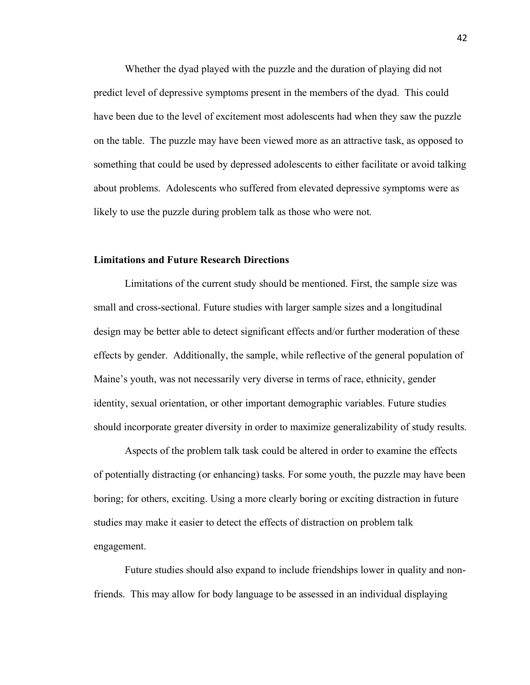Whether the dyad played with the puzzle and the duration of playing did not predict level of depressive symptoms present in the members of the dyad. This could have been due to the level of excitement most adolescents had when they saw the puzzle on the table. The puzzle may have been viewed more as an attractive task, as opposed to something that could be used by depressed adolescents to either facilitate or avoid talking about problems. Adolescents who suffered from elevated depressive symptoms were as likely to use the puzzle during problem talk as those who were not.

### **Limitations and Future Research Directions**

Limitations of the current study should be mentioned. First, the sample size was small and cross-sectional. Future studies with larger sample sizes and a longitudinal design may be better able to detect significant effects and/or further moderation of these effects by gender. Additionally, the sample, while reflective of the general population of Maine's youth, was not necessarily very diverse in terms of race, ethnicity, gender identity, sexual orientation, or other important demographic variables. Future studies should incorporate greater diversity in order to maximize generalizability of study results.

Aspects of the problem talk task could be altered in order to examine the effects of potentially distracting (or enhancing) tasks. For some youth, the puzzle may have been boring; for others, exciting. Using a more clearly boring or exciting distraction in future studies may make it easier to detect the effects of distraction on problem talk engagement.

Future studies should also expand to include friendships lower in quality and nonfriends. This may allow for body language to be assessed in an individual displaying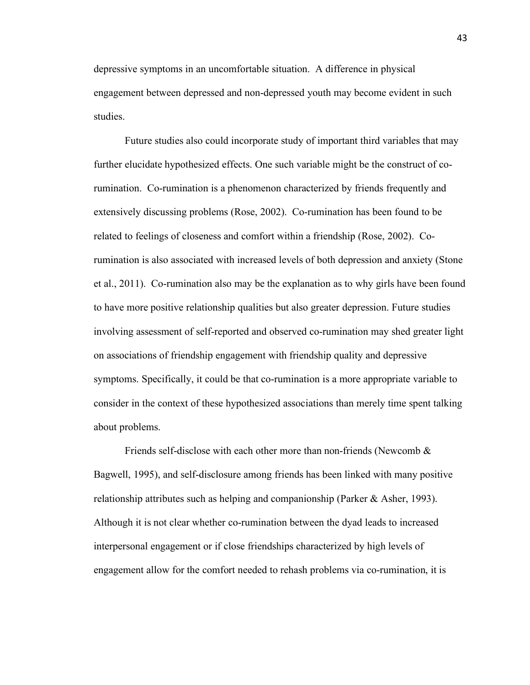depressive symptoms in an uncomfortable situation. A difference in physical engagement between depressed and non-depressed youth may become evident in such studies.

Future studies also could incorporate study of important third variables that may further elucidate hypothesized effects. One such variable might be the construct of corumination. Co-rumination is a phenomenon characterized by friends frequently and extensively discussing problems (Rose, 2002). Co-rumination has been found to be related to feelings of closeness and comfort within a friendship (Rose, 2002). Corumination is also associated with increased levels of both depression and anxiety (Stone et al., 2011). Co-rumination also may be the explanation as to why girls have been found to have more positive relationship qualities but also greater depression. Future studies involving assessment of self-reported and observed co-rumination may shed greater light on associations of friendship engagement with friendship quality and depressive symptoms. Specifically, it could be that co-rumination is a more appropriate variable to consider in the context of these hypothesized associations than merely time spent talking about problems.

Friends self-disclose with each other more than non-friends (Newcomb  $\&$ Bagwell, 1995), and self-disclosure among friends has been linked with many positive relationship attributes such as helping and companionship (Parker & Asher, 1993). Although it is not clear whether co-rumination between the dyad leads to increased interpersonal engagement or if close friendships characterized by high levels of engagement allow for the comfort needed to rehash problems via co-rumination, it is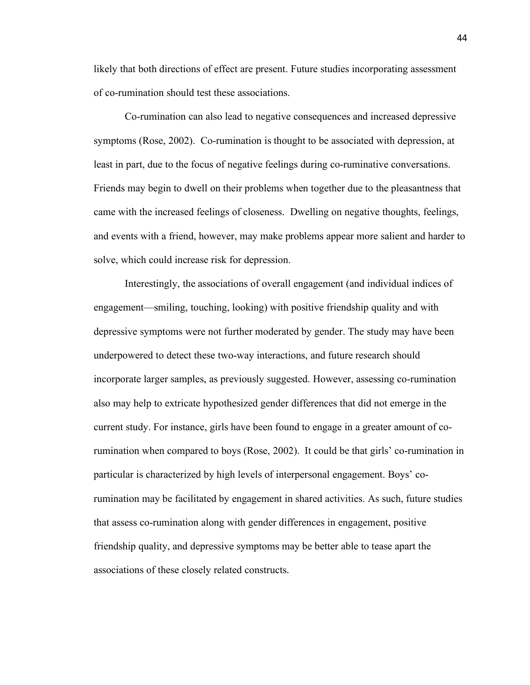likely that both directions of effect are present. Future studies incorporating assessment of co-rumination should test these associations.

Co-rumination can also lead to negative consequences and increased depressive symptoms (Rose, 2002). Co-rumination is thought to be associated with depression, at least in part, due to the focus of negative feelings during co-ruminative conversations. Friends may begin to dwell on their problems when together due to the pleasantness that came with the increased feelings of closeness. Dwelling on negative thoughts, feelings, and events with a friend, however, may make problems appear more salient and harder to solve, which could increase risk for depression.

Interestingly, the associations of overall engagement (and individual indices of engagement—smiling, touching, looking) with positive friendship quality and with depressive symptoms were not further moderated by gender. The study may have been underpowered to detect these two-way interactions, and future research should incorporate larger samples, as previously suggested. However, assessing co-rumination also may help to extricate hypothesized gender differences that did not emerge in the current study. For instance, girls have been found to engage in a greater amount of corumination when compared to boys (Rose, 2002). It could be that girls' co-rumination in particular is characterized by high levels of interpersonal engagement. Boys' corumination may be facilitated by engagement in shared activities. As such, future studies that assess co-rumination along with gender differences in engagement, positive friendship quality, and depressive symptoms may be better able to tease apart the associations of these closely related constructs.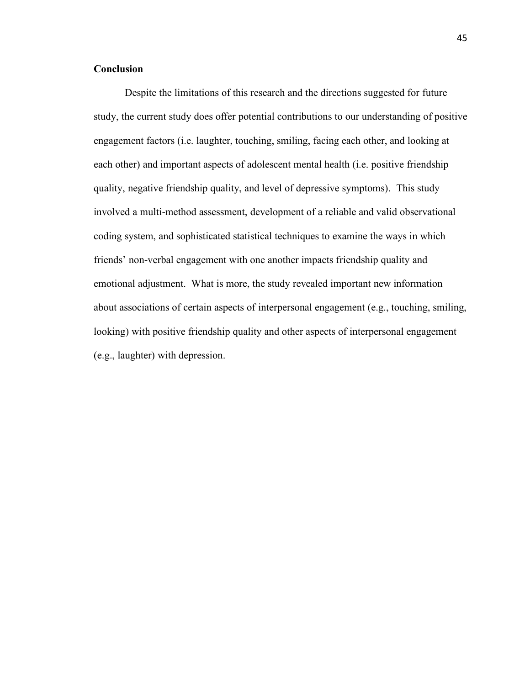### **Conclusion**

Despite the limitations of this research and the directions suggested for future study, the current study does offer potential contributions to our understanding of positive engagement factors (i.e. laughter, touching, smiling, facing each other, and looking at each other) and important aspects of adolescent mental health (i.e. positive friendship quality, negative friendship quality, and level of depressive symptoms). This study involved a multi-method assessment, development of a reliable and valid observational coding system, and sophisticated statistical techniques to examine the ways in which friends' non-verbal engagement with one another impacts friendship quality and emotional adjustment. What is more, the study revealed important new information about associations of certain aspects of interpersonal engagement (e.g., touching, smiling, looking) with positive friendship quality and other aspects of interpersonal engagement (e.g., laughter) with depression.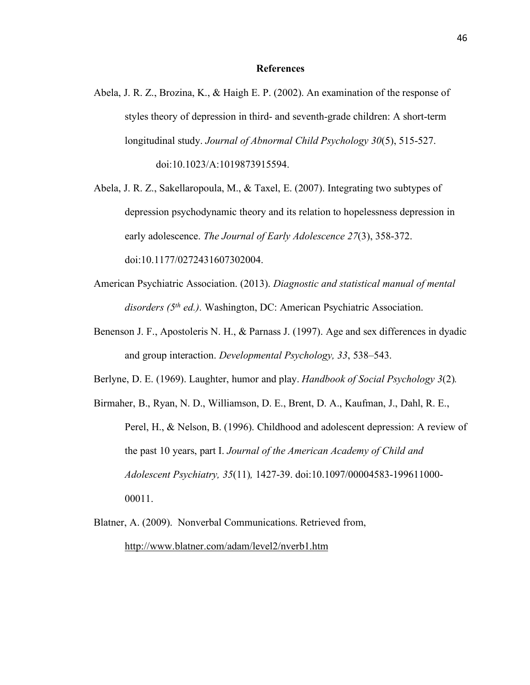### **References**

- Abela, J. R. Z., Brozina, K., & Haigh E. P. (2002). An examination of the response of styles theory of depression in third- and seventh-grade children: A short-term longitudinal study. *Journal of Abnormal Child Psychology 30*(5), 515-527. doi:10.1023/A:1019873915594.
- Abela, J. R. Z., Sakellaropoula, M., & Taxel, E. (2007). Integrating two subtypes of depression psychodynamic theory and its relation to hopelessness depression in early adolescence. *The Journal of Early Adolescence 27*(3), 358-372. doi:10.1177/0272431607302004.
- American Psychiatric Association. (2013). *Diagnostic and statistical manual of mental disorders (5th ed.)*. Washington, DC: American Psychiatric Association.
- Benenson J. F., Apostoleris N. H., & Parnass J. (1997). Age and sex differences in dyadic and group interaction. *Developmental Psychology, 33*, 538–543.
- Berlyne, D. E. (1969). Laughter, humor and play. *Handbook of Social Psychology 3*(2)*.*
- Birmaher, B., Ryan, N. D., Williamson, D. E., Brent, D. A., Kaufman, J., Dahl, R. E., Perel, H., & Nelson, B. (1996). Childhood and adolescent depression: A review of the past 10 years, part I. *Journal of the American Academy of Child and Adolescent Psychiatry, 35*(11)*,* 1427-39. doi:10.1097/00004583-199611000- 00011.
- Blatner, A. (2009). Nonverbal Communications. Retrieved from, http://www.blatner.com/adam/level2/nverb1.htm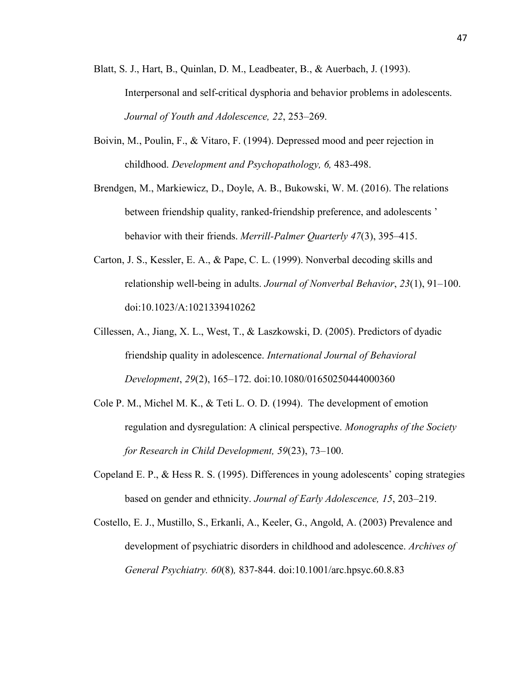- Blatt, S. J., Hart, B., Quinlan, D. M., Leadbeater, B., & Auerbach, J. (1993). Interpersonal and self-critical dysphoria and behavior problems in adolescents. *Journal of Youth and Adolescence, 22*, 253–269.
- Boivin, M., Poulin, F., & Vitaro, F. (1994). Depressed mood and peer rejection in childhood. *Development and Psychopathology, 6,* 483-498.
- Brendgen, M., Markiewicz, D., Doyle, A. B., Bukowski, W. M. (2016). The relations between friendship quality, ranked-friendship preference, and adolescents ' behavior with their friends. *Merrill-Palmer Quarterly 47*(3), 395–415.
- Carton, J. S., Kessler, E. A., & Pape, C. L. (1999). Nonverbal decoding skills and relationship well-being in adults. *Journal of Nonverbal Behavior*, *23*(1), 91–100. doi:10.1023/A:1021339410262
- Cillessen, A., Jiang, X. L., West, T., & Laszkowski, D. (2005). Predictors of dyadic friendship quality in adolescence. *International Journal of Behavioral Development*, *29*(2), 165–172. doi:10.1080/01650250444000360
- Cole P. M., Michel M. K., & Teti L. O. D. (1994). The development of emotion regulation and dysregulation: A clinical perspective. *Monographs of the Society for Research in Child Development, 59*(23), 73–100.
- Copeland E. P., & Hess R. S. (1995). Differences in young adolescents' coping strategies based on gender and ethnicity. *Journal of Early Adolescence, 15*, 203–219.
- Costello, E. J., Mustillo, S., Erkanli, A., Keeler, G., Angold, A. (2003) Prevalence and development of psychiatric disorders in childhood and adolescence. *Archives of General Psychiatry. 60*(8)*,* 837-844. doi:10.1001/arc.hpsyc.60.8.83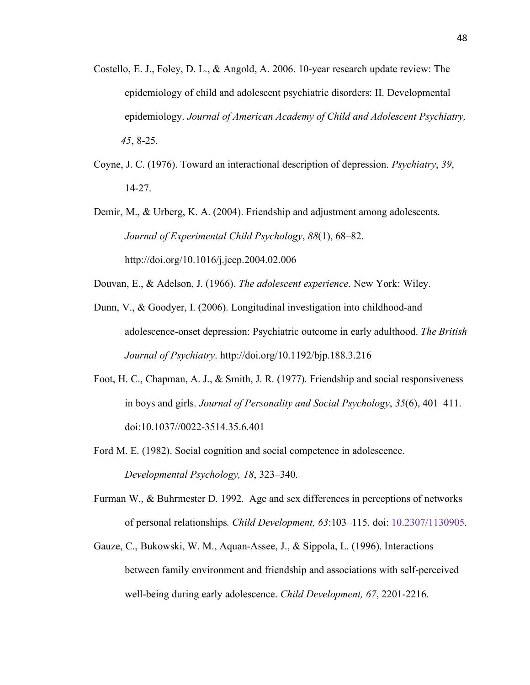- Costello, E. J., Foley, D. L., & Angold, A. 2006. 10-year research update review: The epidemiology of child and adolescent psychiatric disorders: II. Developmental epidemiology. *Journal of American Academy of Child and Adolescent Psychiatry, 45*, 8-25.
- Coyne, J. C. (1976). Toward an interactional description of depression. *Psychiatry*, *39*, 14-27.
- Demir, M., & Urberg, K. A. (2004). Friendship and adjustment among adolescents. *Journal of Experimental Child Psychology*, *88*(1), 68–82. http://doi.org/10.1016/j.jecp.2004.02.006
- Douvan, E., & Adelson, J. (1966). *The adolescent experience*. New York: Wiley.
- Dunn, V., & Goodyer, I. (2006). Longitudinal investigation into childhood-and adolescence-onset depression: Psychiatric outcome in early adulthood. *The British Journal of Psychiatry*. http://doi.org/10.1192/bjp.188.3.216
- Foot, H. C., Chapman, A. J., & Smith, J. R. (1977). Friendship and social responsiveness in boys and girls. *Journal of Personality and Social Psychology*, *35*(6), 401–411. doi:10.1037//0022-3514.35.6.401
- Ford M. E. (1982). Social cognition and social competence in adolescence. *Developmental Psychology, 18*, 323–340.
- Furman W., & Buhrmester D. 1992. Age and sex differences in perceptions of networks of personal relationships*. Child Development, 63*:103–115. doi: 10.2307/1130905.
- Gauze, C., Bukowski, W. M., Aquan-Assee, J., & Sippola, L. (1996). Interactions between family environment and friendship and associations with self-perceived well-being during early adolescence. *Child Development, 67*, 2201-2216.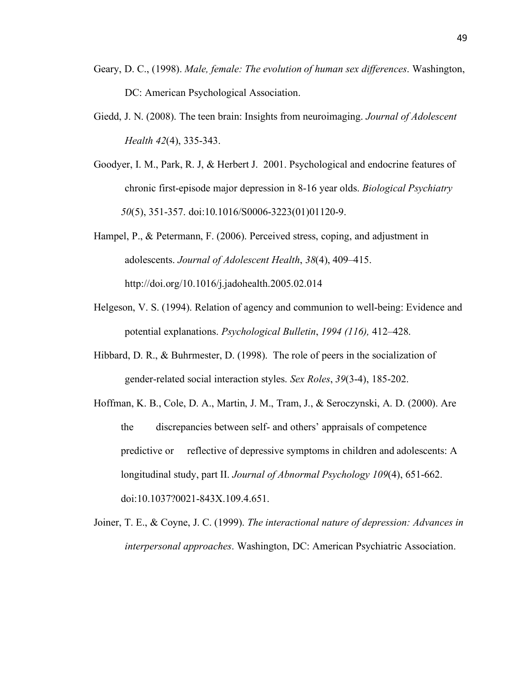- Geary, D. C., (1998). *Male, female: The evolution of human sex differences*. Washington, DC: American Psychological Association.
- Giedd, J. N. (2008). The teen brain: Insights from neuroimaging. *Journal of Adolescent Health 42*(4), 335-343.
- Goodyer, I. M., Park, R. J, & Herbert J. 2001. Psychological and endocrine features of chronic first-episode major depression in 8-16 year olds. *Biological Psychiatry 50*(5), 351-357. doi:10.1016/S0006-3223(01)01120-9.
- Hampel, P., & Petermann, F. (2006). Perceived stress, coping, and adjustment in adolescents. *Journal of Adolescent Health*, *38*(4), 409–415. http://doi.org/10.1016/j.jadohealth.2005.02.014
- Helgeson, V. S. (1994). Relation of agency and communion to well-being: Evidence and potential explanations. *Psychological Bulletin*, *1994 (116),* 412–428.
- Hibbard, D. R., & Buhrmester, D. (1998). The role of peers in the socialization of gender-related social interaction styles. *Sex Roles*, *39*(3-4), 185-202.
- Hoffman, K. B., Cole, D. A., Martin, J. M., Tram, J., & Seroczynski, A. D. (2000). Are the discrepancies between self- and others' appraisals of competence predictive or reflective of depressive symptoms in children and adolescents: A longitudinal study, part II. *Journal of Abnormal Psychology 109*(4), 651-662. doi:10.1037?0021-843X.109.4.651.
- Joiner, T. E., & Coyne, J. C. (1999). *The interactional nature of depression: Advances in interpersonal approaches*. Washington, DC: American Psychiatric Association.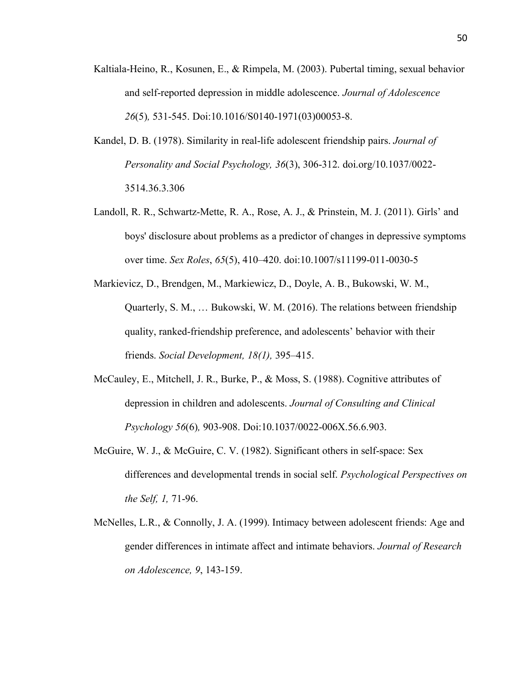- Kaltiala-Heino, R., Kosunen, E., & Rimpela, M. (2003). Pubertal timing, sexual behavior and self-reported depression in middle adolescence. *Journal of Adolescence 26*(5)*,* 531-545. Doi:10.1016/S0140-1971(03)00053-8.
- Kandel, D. B. (1978). Similarity in real-life adolescent friendship pairs. *Journal of Personality and Social Psychology, 36*(3), 306-312. doi.org/10.1037/0022- 3514.36.3.306
- Landoll, R. R., Schwartz-Mette, R. A., Rose, A. J., & Prinstein, M. J. (2011). Girls' and boys' disclosure about problems as a predictor of changes in depressive symptoms over time. *Sex Roles*, *65*(5), 410–420. doi:10.1007/s11199-011-0030-5
- Markievicz, D., Brendgen, M., Markiewicz, D., Doyle, A. B., Bukowski, W. M., Quarterly, S. M., … Bukowski, W. M. (2016). The relations between friendship quality, ranked-friendship preference, and adolescents' behavior with their friends. *Social Development, 18(1),* 395–415.
- McCauley, E., Mitchell, J. R., Burke, P., & Moss, S. (1988). Cognitive attributes of depression in children and adolescents. *Journal of Consulting and Clinical Psychology 56*(6)*,* 903-908. Doi:10.1037/0022-006X.56.6.903.
- McGuire, W. J., & McGuire, C. V. (1982). Significant others in self-space: Sex differences and developmental trends in social self. *Psychological Perspectives on the Self, 1,* 71-96.
- McNelles, L.R., & Connolly, J. A. (1999). Intimacy between adolescent friends: Age and gender differences in intimate affect and intimate behaviors. *Journal of Research on Adolescence, 9*, 143-159.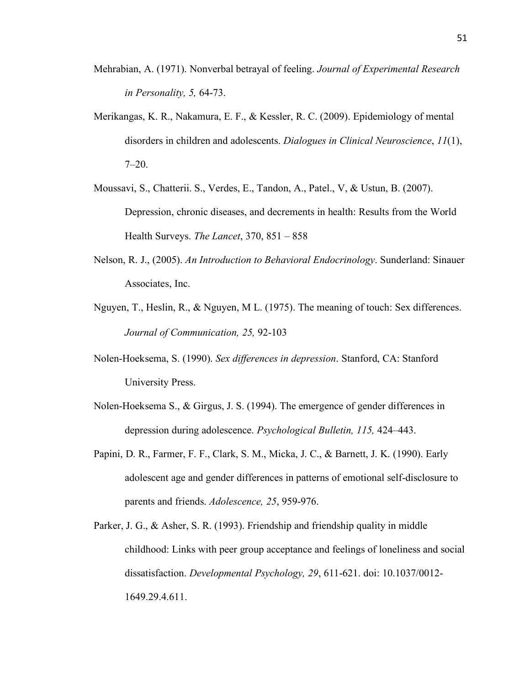- Mehrabian, A. (1971). Nonverbal betrayal of feeling. *Journal of Experimental Research in Personality, 5,* 64-73.
- Merikangas, K. R., Nakamura, E. F., & Kessler, R. C. (2009). Epidemiology of mental disorders in children and adolescents. *Dialogues in Clinical Neuroscience*, *11*(1),  $7 - 20$ .
- Moussavi, S., Chatterii. S., Verdes, E., Tandon, A., Patel., V, & Ustun, B. (2007). Depression, chronic diseases, and decrements in health: Results from the World Health Surveys. *The Lancet*, 370, 851 – 858
- Nelson, R. J., (2005). *An Introduction to Behavioral Endocrinology*. Sunderland: Sinauer Associates, Inc.
- Nguyen, T., Heslin, R., & Nguyen, M L. (1975). The meaning of touch: Sex differences. *Journal of Communication, 25,* 92-103
- Nolen-Hoeksema, S. (1990). *Sex differences in depression*. Stanford, CA: Stanford University Press.
- Nolen-Hoeksema S., & Girgus, J. S. (1994). The emergence of gender differences in depression during adolescence. *Psychological Bulletin, 115,* 424–443.
- Papini, D. R., Farmer, F. F., Clark, S. M., Micka, J. C., & Barnett, J. K. (1990). Early adolescent age and gender differences in patterns of emotional self-disclosure to parents and friends. *Adolescence, 25*, 959-976.
- Parker, J. G., & Asher, S. R. (1993). Friendship and friendship quality in middle childhood: Links with peer group acceptance and feelings of loneliness and social dissatisfaction. *Developmental Psychology, 29*, 611-621. doi: 10.1037/0012- 1649.29.4.611.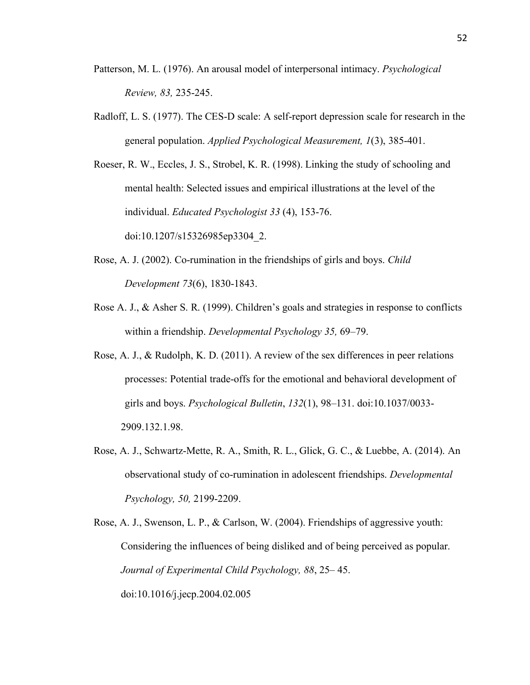- Patterson, M. L. (1976). An arousal model of interpersonal intimacy. *Psychological Review, 83,* 235-245.
- Radloff, L. S. (1977). The CES-D scale: A self-report depression scale for research in the general population. *Applied Psychological Measurement, 1*(3), 385-401.

Roeser, R. W., Eccles, J. S., Strobel, K. R. (1998). Linking the study of schooling and mental health: Selected issues and empirical illustrations at the level of the individual. *Educated Psychologist 33* (4), 153-76. doi:10.1207/s15326985ep3304\_2.

- Rose, A. J. (2002). Co-rumination in the friendships of girls and boys. *Child Development 73*(6), 1830-1843.
- Rose A. J., & Asher S. R. (1999). Children's goals and strategies in response to conflicts within a friendship. *Developmental Psychology 35,* 69–79.
- Rose, A. J., & Rudolph, K. D. (2011). A review of the sex differences in peer relations processes: Potential trade-offs for the emotional and behavioral development of girls and boys. *Psychological Bulletin*, *132*(1), 98–131. doi:10.1037/0033- 2909.132.1.98.
- Rose, A. J., Schwartz-Mette, R. A., Smith, R. L., Glick, G. C., & Luebbe, A. (2014). An observational study of co-rumination in adolescent friendships. *Developmental Psychology, 50,* 2199-2209.
- Rose, A. J., Swenson, L. P., & Carlson, W. (2004). Friendships of aggressive youth: Considering the influences of being disliked and of being perceived as popular. *Journal of Experimental Child Psychology, 88*, 25– 45. doi:10.1016/j.jecp.2004.02.005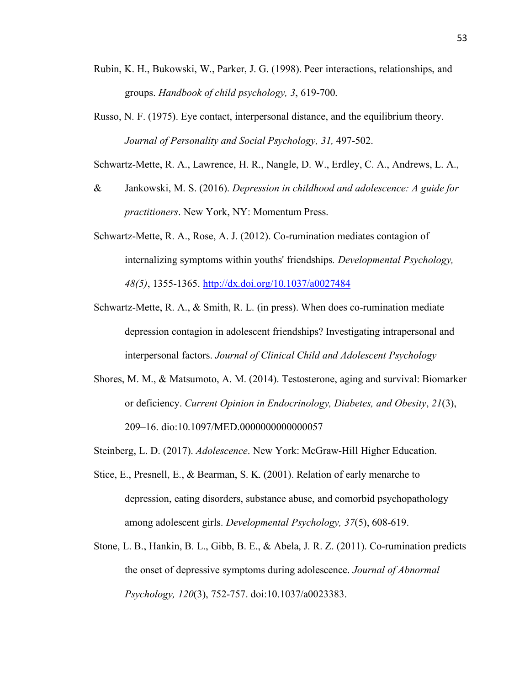- Rubin, K. H., Bukowski, W., Parker, J. G. (1998). Peer interactions, relationships, and groups. *Handbook of child psychology, 3*, 619-700.
- Russo, N. F. (1975). Eye contact, interpersonal distance, and the equilibrium theory. *Journal of Personality and Social Psychology, 31,* 497-502.

Schwartz-Mette, R. A., Lawrence, H. R., Nangle, D. W., Erdley, C. A., Andrews, L. A.,

- & Jankowski, M. S. (2016). *Depression in childhood and adolescence: A guide for practitioners*. New York, NY: Momentum Press.
- Schwartz-Mette, R. A., Rose, A. J. (2012). Co-rumination mediates contagion of internalizing symptoms within youths' friendships*. Developmental Psychology, 48(5)*, 1355-1365. http://dx.doi.org/10.1037/a0027484
- Schwartz-Mette, R. A., & Smith, R. L. (in press). When does co-rumination mediate depression contagion in adolescent friendships? Investigating intrapersonal and interpersonal factors. *Journal of Clinical Child and Adolescent Psychology*
- Shores, M. M., & Matsumoto, A. M. (2014). Testosterone, aging and survival: Biomarker or deficiency. *Current Opinion in Endocrinology, Diabetes, and Obesity*, *21*(3), 209–16. dio:10.1097/MED.0000000000000057
- Steinberg, L. D. (2017). *Adolescence*. New York: McGraw-Hill Higher Education.
- Stice, E., Presnell, E., & Bearman, S. K. (2001). Relation of early menarche to depression, eating disorders, substance abuse, and comorbid psychopathology among adolescent girls. *Developmental Psychology, 37*(5), 608-619.
- Stone, L. B., Hankin, B. L., Gibb, B. E., & Abela, J. R. Z. (2011). Co-rumination predicts the onset of depressive symptoms during adolescence. *Journal of Abnormal Psychology, 120*(3), 752-757. doi:10.1037/a0023383.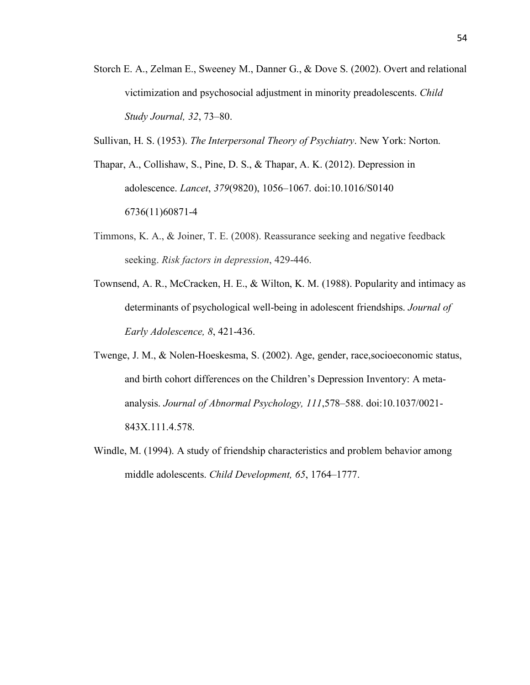- Storch E. A., Zelman E., Sweeney M., Danner G., & Dove S. (2002). Overt and relational victimization and psychosocial adjustment in minority preadolescents. *Child Study Journal, 32*, 73–80.
- Sullivan, H. S. (1953). *The Interpersonal Theory of Psychiatry*. New York: Norton.
- Thapar, A., Collishaw, S., Pine, D. S., & Thapar, A. K. (2012). Depression in adolescence. *Lancet*, *379*(9820), 1056–1067. doi:10.1016/S0140 6736(11)60871-4
- Timmons, K. A., & Joiner, T. E. (2008). Reassurance seeking and negative feedback seeking. *Risk factors in depression*, 429-446.
- Townsend, A. R., McCracken, H. E., & Wilton, K. M. (1988). Popularity and intimacy as determinants of psychological well-being in adolescent friendships. *Journal of Early Adolescence, 8*, 421-436.
- Twenge, J. M., & Nolen-Hoeskesma, S. (2002). Age, gender, race,socioeconomic status, and birth cohort differences on the Children's Depression Inventory: A metaanalysis. *Journal of Abnormal Psychology, 111*,578–588. doi:10.1037/0021- 843X.111.4.578.
- Windle, M. (1994). A study of friendship characteristics and problem behavior among middle adolescents. *Child Development, 65*, 1764–1777.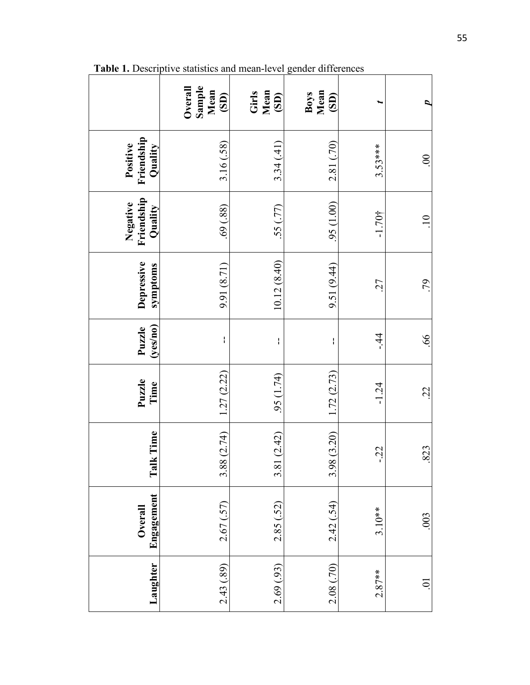|                                   | Sample<br>Overall<br>Mean<br>(SD) | Mean<br>Girls<br>(SD) | Boys<br>Mean<br>(SD) |           |                |
|-----------------------------------|-----------------------------------|-----------------------|----------------------|-----------|----------------|
| Friendship<br>Positive<br>Quality | 3.16(.58)                         | 3.34(41)              | 2.81 (.70)           | $3.53***$ | $\overline{0}$ |
| Friendship<br>Negative<br>Quality | (88)                              | (77)                  | $(00.1)$ $56$        | $-1.70$ † | 10             |
| Depressive<br>symptoms            | 9.91 (8.71)                       | 10.12(8.40)           | 9.51 (9.44)          | 27        | .79            |
| (yes/no)<br>Puzzle                | I                                 | ł                     | ł                    | $-44$     | .66            |
| Puzzle<br>Time                    | 1.27(2.22)                        | .95(1.74)             | 1.72(2.73)           | $-1.24$   | $\ddot{c}$     |
| lk Time<br>$\mathbf{F}$           | 3.88(2.74)                        | 3.81(2.42)            | 3.98 (3.20)          | $-22$     | .823           |
| Engagement<br>Overall             | 2.67(.57)                         | 2.85(.52)             | 2.42(.54)            | $3.10**$  | .003           |
| Laughter                          | 2.43 (.89)                        | 2.69(0.93)            | 2.08 (.70)           | $2.87**$  | ā              |

**Table 1.** Descriptive statistics and mean-level gender differences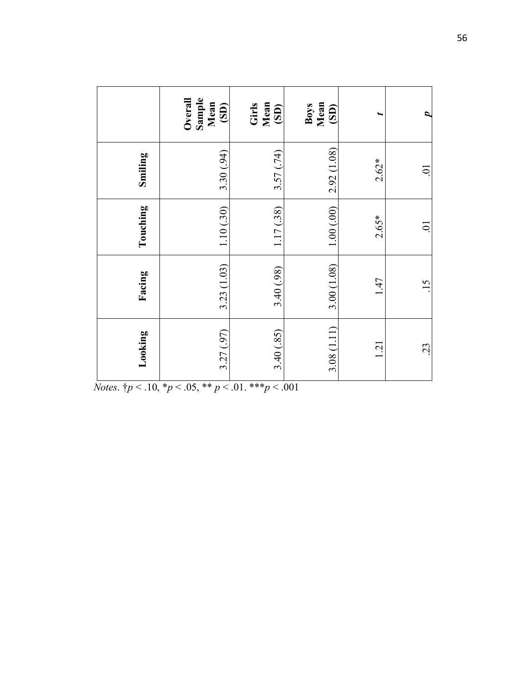|          | Sample<br>Overall<br>Mean<br>(SD) | Mean<br>Girls<br>(SD) | Mean<br>Boys<br>$\overline{\textbf{(S)}}$ |         | c      |
|----------|-----------------------------------|-----------------------|-------------------------------------------|---------|--------|
| Smiling  | 3.30 (.94)                        | 3.57(.74)             | 2.92 (1.08)                               | $2.62*$ | ā      |
| Touching | 1.10(0.30)                        | 1.17(38)              | 1.00(0.00)                                | $2.65*$ | $\sum$ |
| Facing   | 3.23 (1.03)                       | 3.40 (.98)            | 3.00(1.08)                                | 1.47    | 15     |
| Looking  | 3.27 (.97)                        | 3.40(.85)             | 3.08(1.11)                                | 1.21    | 23     |

*Notes.*  $\frac{1}{7}p < .10, \frac{*p}{5} < .05, \frac{*p}{5} < .01, \frac{*p}{5} < .001$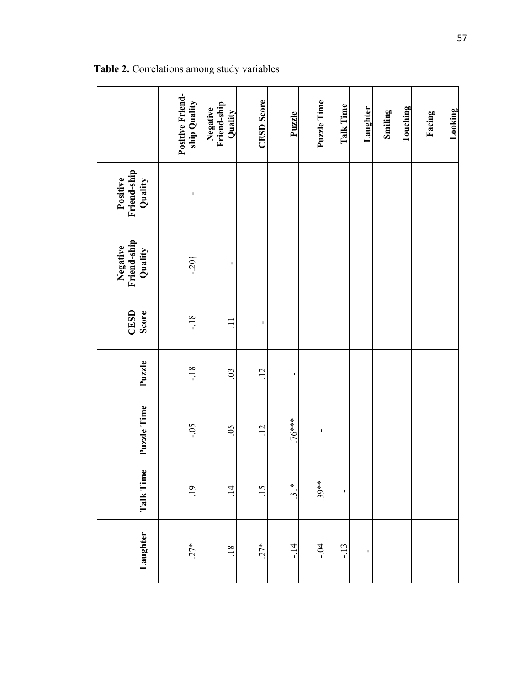|                                    | Positive Friend-<br>ship Quality | Negative<br>Friend-ship<br>Quality | <b>CESD</b> Score | Puzzle  | Puzzle Time | <b>Talk Time</b> | Laughter | <b>Smiling</b> | Touching | Facing | Looking |
|------------------------------------|----------------------------------|------------------------------------|-------------------|---------|-------------|------------------|----------|----------------|----------|--------|---------|
| Positive<br>Friend-ship<br>Quality |                                  |                                    |                   |         |             |                  |          |                |          |        |         |
| Negative<br>Friend-ship<br>Quality | $-20^{4}$                        | I.                                 |                   |         |             |                  |          |                |          |        |         |
| CESD<br>Score                      | $-18$                            |                                    | ı                 |         |             |                  |          |                |          |        |         |
| Puzzle                             | $-18$                            | 0 <sup>3</sup>                     | $\overline{12}$   | ı       |             |                  |          |                |          |        |         |
| Puzzle Time                        | $-0.5$                           | $\overline{0}$                     | $\overline{12}$   | $76***$ | ı           |                  |          |                |          |        |         |
| Talk Time                          | $\overline{0}$                   | $\overline{4}$                     | $\overline{15}$   | $31*$   | $.39**$     | $\blacksquare$   |          |                |          |        |         |
| Laughter                           | $27*$                            | 18                                 | $27*$             | $-14$   | $-0.4$      | $-13$            | I.       |                |          |        |         |

**Table 2.** Correlations among study variables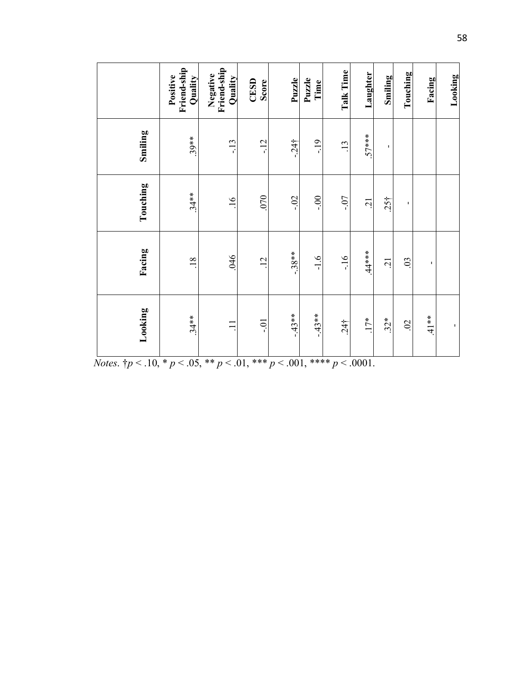|          | Friend-ship<br>Positive<br>Quality | Negative<br>Friend-ship<br>Quality | CESD<br>Score | Puzzle             | Puzzle<br>Time | Talk Time       | Laughter       | Smiling        | Touching       | Facing | Looking |
|----------|------------------------------------|------------------------------------|---------------|--------------------|----------------|-----------------|----------------|----------------|----------------|--------|---------|
| Smiling  | $.39**$                            | $-13$                              | $-12$         | $-24$ <sup>+</sup> | $-19$          | 13              | $.57***$       | I.             |                |        |         |
| Touching | $.34**$                            | $\overline{.16}$                   | 070           | $-0.2$             | $-0$ .         | $-0.7$          | $\overline{c}$ | $.25^{+}$      | I.             |        |         |
| Facing   | $\overline{.18}$                   | 046                                | 12            | $-38**$            | $-1.6$         | $-16$           | $.44***$       | $\overline{c}$ | $\mathfrak{S}$ | I.     |         |
| Looking  | $.34**$                            | $\equiv$                           | io-           | $-43**$            | $-43**$        | 24 <sup>†</sup> | $17*$          | $32*$          | $\ddot{\circ}$ | $41**$ | Ť,      |

*Notes*. †*p* < .10, \* *p* < .05, \*\* *p* < .01, \*\*\* *p* < .001, \*\*\*\* *p* < .0001.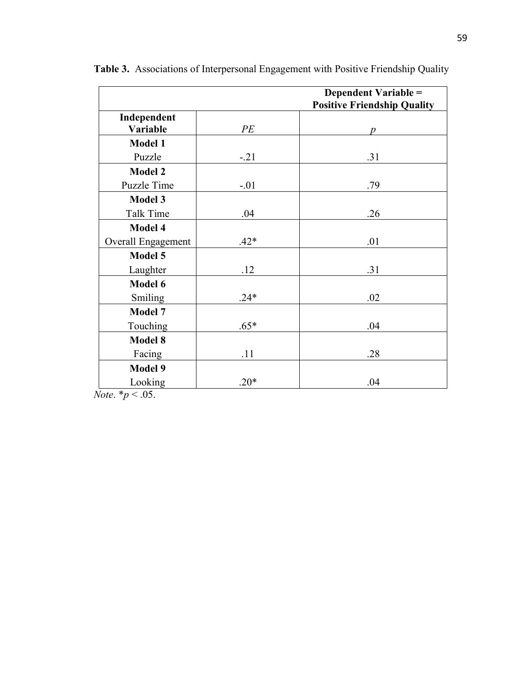|                         |        | <b>Dependent Variable =</b>        |
|-------------------------|--------|------------------------------------|
|                         |        | <b>Positive Friendship Quality</b> |
| Independent<br>Variable | PE     |                                    |
|                         |        | p                                  |
| <b>Model 1</b>          |        |                                    |
| Puzzle                  | $-21$  | .31                                |
| <b>Model 2</b>          |        |                                    |
| Puzzle Time             | $-.01$ | .79                                |
| <b>Model 3</b>          |        |                                    |
| <b>Talk Time</b>        | .04    | .26                                |
| Model 4                 |        |                                    |
| Overall Engagement      | $.42*$ | .01                                |
| Model 5                 |        |                                    |
| Laughter                | .12    | .31                                |
| Model 6                 |        |                                    |
| Smiling                 | $.24*$ | .02                                |
| Model 7                 |        |                                    |
| Touching                | $.65*$ | .04                                |
| <b>Model 8</b>          |        |                                    |
| Facing                  | .11    | .28                                |
| <b>Model 9</b>          |        |                                    |
| Looking                 | $.20*$ | .04                                |

**Table 3.** Associations of Interpersonal Engagement with Positive Friendship Quality

*Note*.  $* p < .05$ .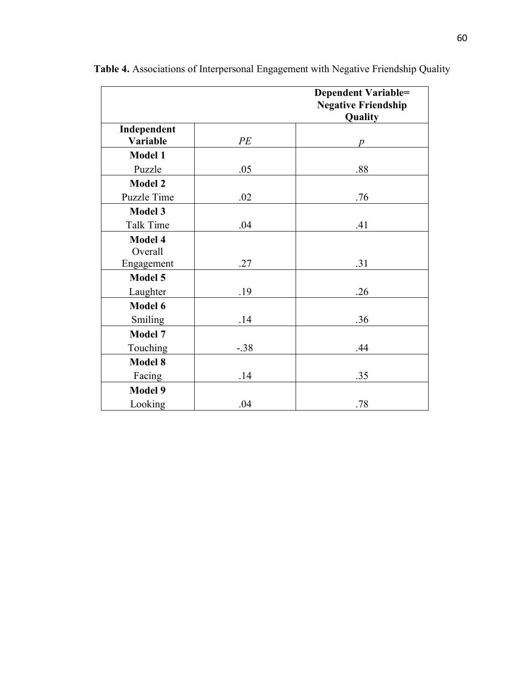|                         |        | <b>Dependent Variable=</b><br><b>Negative Friendship</b><br>Quality |
|-------------------------|--------|---------------------------------------------------------------------|
| Independent<br>Variable | PE     | p                                                                   |
| <b>Model 1</b>          |        |                                                                     |
| Puzzle                  | .05    | .88                                                                 |
| <b>Model 2</b>          |        |                                                                     |
| Puzzle Time             | .02    | .76                                                                 |
| <b>Model 3</b>          |        |                                                                     |
| <b>Talk Time</b>        | .04    | .41                                                                 |
| Model 4                 |        |                                                                     |
| Overall                 |        |                                                                     |
| Engagement              | .27    | .31                                                                 |
| Model 5                 |        |                                                                     |
| Laughter                | .19    | .26                                                                 |
| Model 6                 |        |                                                                     |
| Smiling                 | .14    | .36                                                                 |
| Model 7                 |        |                                                                     |
| Touching                | $-.38$ | .44                                                                 |
| <b>Model 8</b>          |        |                                                                     |
| Facing                  | .14    | .35                                                                 |
| <b>Model 9</b>          |        |                                                                     |
| Looking                 | .04    | .78                                                                 |

**Table 4.** Associations of Interpersonal Engagement with Negative Friendship Quality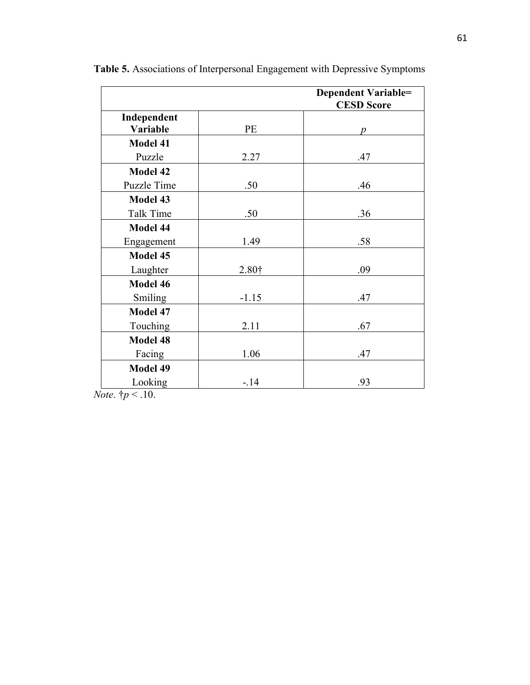|                         |                   | <b>Dependent Variable=</b><br><b>CESD Score</b> |
|-------------------------|-------------------|-------------------------------------------------|
| Independent<br>Variable | <b>PE</b>         | Ď                                               |
| <b>Model 41</b>         |                   |                                                 |
| Puzzle                  | 2.27              | .47                                             |
| <b>Model 42</b>         |                   |                                                 |
| Puzzle Time             | .50               | .46                                             |
| Model 43                |                   |                                                 |
| <b>Talk Time</b>        | .50               | .36                                             |
| Model 44                |                   |                                                 |
| Engagement              | 1.49              | .58                                             |
| Model 45                |                   |                                                 |
| Laughter                | 2.80 <sup>†</sup> | .09                                             |
| Model 46                |                   |                                                 |
| Smiling                 | $-1.15$           | .47                                             |
| Model 47                |                   |                                                 |
| Touching                | 2.11              | .67                                             |
| <b>Model 48</b>         |                   |                                                 |
| Facing                  | 1.06              | .47                                             |
| Model 49                |                   |                                                 |
| Looking                 | $-14$             | .93                                             |

**Table 5.** Associations of Interpersonal Engagement with Depressive Symptoms

*Note*. †*p* < .10.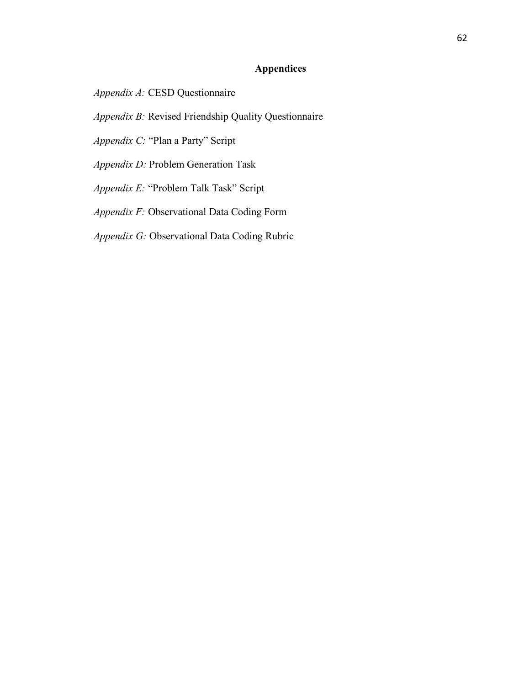# **Appendices**

*Appendix A:* CESD Questionnaire

*Appendix B:* Revised Friendship Quality Questionnaire

*Appendix C:* "Plan a Party" Script

*Appendix D:* Problem Generation Task

*Appendix E:* "Problem Talk Task" Script

*Appendix F:* Observational Data Coding Form

*Appendix G:* Observational Data Coding Rubric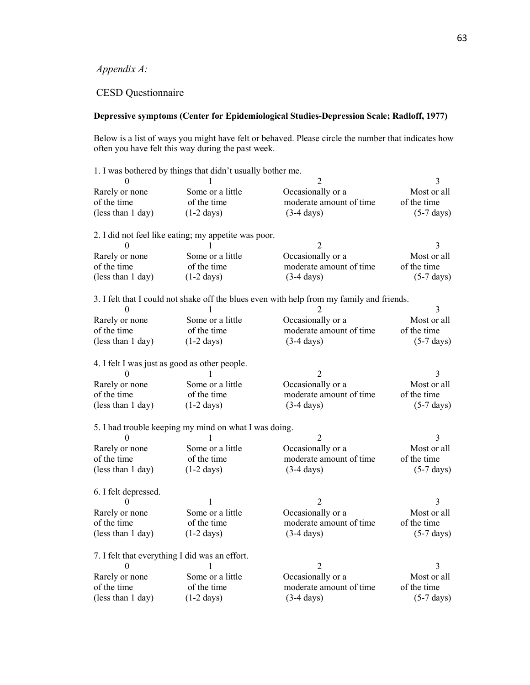# *Appendix A:*

# CESD Questionnaire

### **Depressive symptoms (Center for Epidemiological Studies-Depression Scale; Radloff, 1977)**

Below is a list of ways you might have felt or behaved. Please circle the number that indicates how often you have felt this way during the past week.

|                      | 1. I was bothered by things that didn't usually bother me. |                                                                                           |                      |
|----------------------|------------------------------------------------------------|-------------------------------------------------------------------------------------------|----------------------|
|                      |                                                            |                                                                                           | 3                    |
| Rarely or none       | Some or a little                                           | Occasionally or a                                                                         | Most or all          |
| of the time          | of the time                                                | moderate amount of time                                                                   | of the time          |
| (less than 1 day)    | $(1-2 \text{ days})$                                       | $(3-4 \text{ days})$                                                                      | $(5-7 \text{ days})$ |
|                      | 2. I did not feel like eating; my appetite was poor.       |                                                                                           |                      |
|                      |                                                            | 2                                                                                         | 3                    |
| Rarely or none       | Some or a little                                           | Occasionally or a                                                                         | Most or all          |
| of the time          | of the time                                                | moderate amount of time                                                                   | of the time          |
| (less than 1 day)    | $(1-2 \text{ days})$                                       | $(3-4 \text{ days})$                                                                      | $(5-7 \text{ days})$ |
| 0                    |                                                            | 3. I felt that I could not shake off the blues even with help from my family and friends. | 3                    |
| Rarely or none       | Some or a little                                           | Occasionally or a                                                                         | Most or all          |
| of the time          | of the time                                                | moderate amount of time                                                                   | of the time          |
| (less than 1 day)    | $(1-2 \text{ days})$                                       | $(3-4 \text{ days})$                                                                      | $(5-7 \text{ days})$ |
|                      | 4. I felt I was just as good as other people.              |                                                                                           |                      |
|                      |                                                            |                                                                                           |                      |
| Rarely or none       | Some or a little                                           | Occasionally or a                                                                         | Most or all          |
| of the time          | of the time                                                | moderate amount of time                                                                   | of the time          |
| (less than 1 day)    | $(1-2 \text{ days})$                                       | $(3-4 \text{ days})$                                                                      | $(5-7 \text{ days})$ |
| 0                    | 5. I had trouble keeping my mind on what I was doing.      |                                                                                           | 3                    |
| Rarely or none       | Some or a little                                           | Occasionally or a                                                                         | Most or all          |
| of the time          | of the time                                                | moderate amount of time                                                                   | of the time          |
| (less than 1 day)    | $(1-2 \text{ days})$                                       | $(3-4 \text{ days})$                                                                      | $(5-7 \text{ days})$ |
| 6. I felt depressed. |                                                            |                                                                                           |                      |
|                      |                                                            | 2                                                                                         |                      |
| Rarely or none       | Some or a little                                           | Occasionally or a                                                                         | Most or all          |
| of the time          | of the time                                                | moderate amount of time                                                                   | of the time          |
| (less than 1 day)    | $(1-2 \text{ days})$                                       | $(3-4 \text{ days})$                                                                      | $(5-7 \text{ days})$ |
|                      | 7. I felt that everything I did was an effort.             |                                                                                           |                      |
| 0                    |                                                            | 2                                                                                         | 3                    |
| Rarely or none       | Some or a little                                           | Occasionally or a                                                                         | Most or all          |
| of the time          | of the time                                                | moderate amount of time                                                                   | of the time          |
| (less than 1 day)    | $(1-2 \text{ days})$                                       | $(3-4 \text{ days})$                                                                      | $(5-7 \text{ days})$ |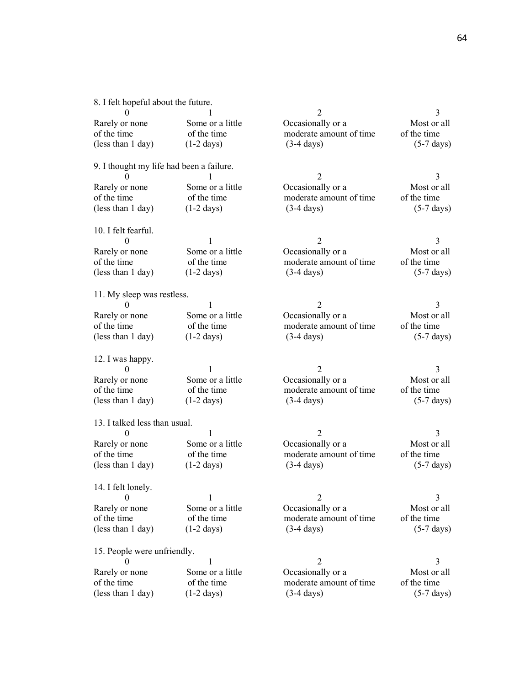8. I felt hopeful about the future.

|                                           | $\mathbf{1}$                        | $\overline{2}$                                  | 3                                   |
|-------------------------------------------|-------------------------------------|-------------------------------------------------|-------------------------------------|
| Rarely or none                            | Some or a little                    | Occasionally or a                               | Most or all                         |
| of the time                               | of the time                         | moderate amount of time                         | of the time                         |
| (less than 1 day)                         | $(1-2 \text{ days})$                | $(3-4 \text{ days})$                            | $(5-7 \text{ days})$                |
|                                           |                                     |                                                 |                                     |
| 9. I thought my life had been a failure.  |                                     |                                                 |                                     |
|                                           |                                     | $\overline{2}$                                  | 3                                   |
| Rarely or none                            | Some or a little                    | Occasionally or a                               | Most or all                         |
| of the time                               | of the time                         | moderate amount of time                         | of the time                         |
| (less than 1 day)                         | $(1-2 \text{ days})$                | $(3-4 \text{ days})$                            | $(5-7 \text{ days})$                |
|                                           |                                     |                                                 |                                     |
| 10. I felt fearful.                       |                                     |                                                 |                                     |
| 0                                         |                                     | 2                                               | 3                                   |
|                                           | Some or a little                    |                                                 |                                     |
| Rarely or none                            |                                     | Occasionally or a                               | Most or all                         |
| of the time                               | of the time                         | moderate amount of time                         | of the time                         |
| (less than 1 day)                         | $(1-2 \text{ days})$                | $(3-4 \text{ days})$                            | $(5-7 \text{ days})$                |
|                                           |                                     |                                                 |                                     |
| 11. My sleep was restless.                |                                     |                                                 |                                     |
| 0                                         | 1                                   | $\overline{2}$                                  | 3                                   |
| Rarely or none                            | Some or a little                    | Occasionally or a                               | Most or all                         |
| of the time                               | of the time                         | moderate amount of time                         | of the time                         |
| (less than 1 day)                         | $(1-2 \text{ days})$                | $(3-4 \text{ days})$                            | $(5-7 \text{ days})$                |
|                                           |                                     |                                                 |                                     |
|                                           |                                     |                                                 |                                     |
| 12. I was happy.                          |                                     |                                                 |                                     |
| $\theta$                                  | 1                                   | 2                                               | 3                                   |
| Rarely or none                            | Some or a little                    | Occasionally or a                               | Most or all                         |
| of the time                               | of the time                         | moderate amount of time                         | of the time                         |
| (less than 1 day)                         | $(1-2 \text{ days})$                | $(3-4 \text{ days})$                            | $(5-7 \text{ days})$                |
|                                           |                                     |                                                 |                                     |
|                                           |                                     |                                                 |                                     |
| 13. I talked less than usual.<br>$\theta$ | 1                                   | $\overline{2}$                                  | 3                                   |
|                                           |                                     |                                                 |                                     |
| Rarely or none                            | Some or a little                    | Occasionally or a                               | Most or all                         |
| of the time                               | of the time                         | moderate amount of time                         | of the time                         |
| (less than 1 day)                         | $(1-2 \text{ days})$                | $(3-4 \text{ days})$                            | $(5-7 \text{ days})$                |
|                                           |                                     |                                                 |                                     |
| 14. I felt lonely.                        |                                     |                                                 |                                     |
| $\overline{0}$                            |                                     |                                                 | 3                                   |
| Rarely or none                            | Some or a little                    | Occasionally or a                               | Most or all                         |
| of the time                               | of the time                         | moderate amount of time                         | of the time                         |
| (less than 1 day)                         | $(1-2 \text{ days})$                | $(3-4 \text{ days})$                            | $(5-7 \text{ days})$                |
|                                           |                                     |                                                 |                                     |
| 15. People were unfriendly.               |                                     |                                                 |                                     |
| 0                                         | 1                                   | $\overline{2}$                                  | 3                                   |
| Rarely or none                            | Some or a little                    | Occasionally or a                               | Most or all                         |
| of the time<br>(less than 1 day)          | of the time<br>$(1-2 \text{ days})$ | moderate amount of time<br>$(3-4 \text{ days})$ | of the time<br>$(5-7 \text{ days})$ |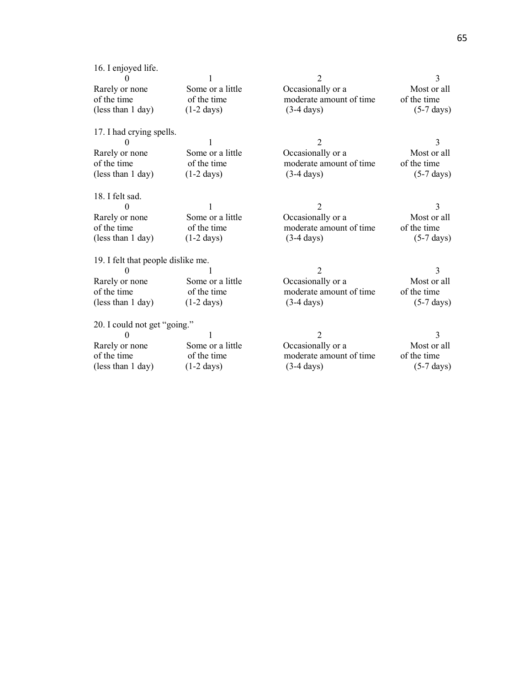| 16. I enjoyed life.                |                      | $\overline{2}$          | 3                    |
|------------------------------------|----------------------|-------------------------|----------------------|
| Rarely or none                     | Some or a little     | Occasionally or a       | Most or all          |
| of the time                        | of the time          | moderate amount of time | of the time          |
| (less than 1 day)                  | $(1-2 \text{ days})$ | $(3-4 \text{ days})$    | $(5-7 \text{ days})$ |
| 17. I had crying spells.           |                      |                         |                      |
|                                    |                      | $\mathfrak{D}$          | 3                    |
| Rarely or none                     | Some or a little     | Occasionally or a       | Most or all          |
| of the time                        | of the time          | moderate amount of time | of the time          |
| (less than 1 day)                  | $(1-2 \text{ days})$ | $(3-4 \text{ days})$    | $(5-7 \text{ days})$ |
| 18. I felt sad.                    |                      |                         |                      |
|                                    |                      | $\overline{2}$          | 3                    |
| Rarely or none                     | Some or a little     | Occasionally or a       | Most or all          |
| of the time                        | of the time          | moderate amount of time | of the time          |
| (less than 1 day)                  | $(1-2 \text{ days})$ | $(3-4 \text{ days})$    | $(5-7 \text{ days})$ |
| 19. I felt that people dislike me. |                      |                         |                      |
| 0                                  |                      | 2                       | 3                    |
| Rarely or none                     | Some or a little     | Occasionally or a       | Most or all          |
| of the time                        | of the time          | moderate amount of time | of the time          |
| (less than 1 day)                  | $(1-2 \text{ days})$ | $(3-4 \text{ days})$    | $(5-7 \text{ days})$ |
| 20. I could not get "going."       |                      |                         |                      |
|                                    |                      | 2                       | 3                    |
| Rarely or none                     | Some or a little     | Occasionally or a       | Most or all          |
| of the time                        | of the time          | moderate amount of time | of the time          |
| (less than 1 day)                  | $(1-2 \text{ days})$ | $(3-4 \text{ days})$    | $(5-7 \text{ days})$ |
|                                    |                      |                         |                      |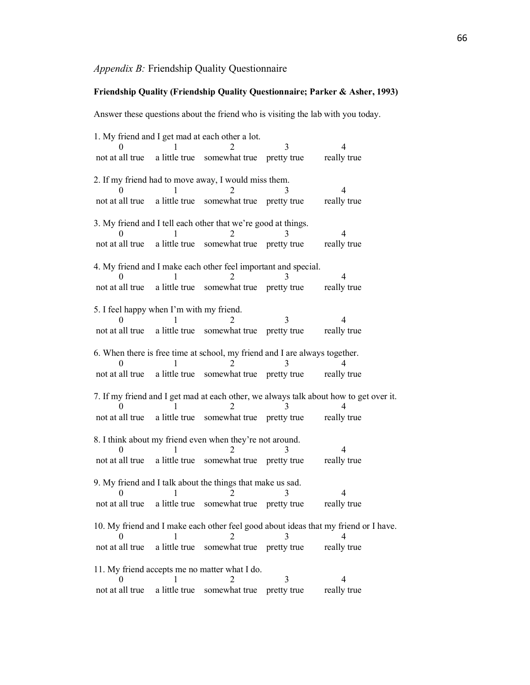### *Appendix B:* Friendship Quality Questionnaire

#### **Friendship Quality (Friendship Quality Questionnaire; Parker & Asher, 1993)**

Answer these questions about the friend who is visiting the lab with you today.

1. My friend and I get mad at each other a lot. 0 1 2 3 4 not at all true a little true somewhat true pretty true really true 2. If my friend had to move away, I would miss them. 0 1 2 3 4 not at all true a little true somewhat true pretty true really true 3. My friend and I tell each other that we're good at things. 0 1 2 3 4 not at all true a little true somewhat true pretty true really true 4. My friend and I make each other feel important and special. 0 1 2 3 4 not at all true a little true somewhat true pretty true really true 5. I feel happy when I'm with my friend. 0 1 2 3 4 not at all true a little true somewhat true pretty true really true 6. When there is free time at school, my friend and I are always together. 0 1 2 3 4 not at all true a little true somewhat true pretty true really true 7. If my friend and I get mad at each other, we always talk about how to get over it. 0 1 2 3 4 not at all true a little true somewhat true pretty true really true 8. I think about my friend even when they're not around. 0 1 2 3 4 not at all true a little true somewhat true pretty true really true 9. My friend and I talk about the things that make us sad. 0 1 2 3 4 not at all true a little true somewhat true pretty true really true 10. My friend and I make each other feel good about ideas that my friend or I have. 0 1 2 3 4 not at all true a little true somewhat true pretty true really true 11. My friend accepts me no matter what I do. 0 1 2 3 4 not at all true a little true somewhat true pretty true really true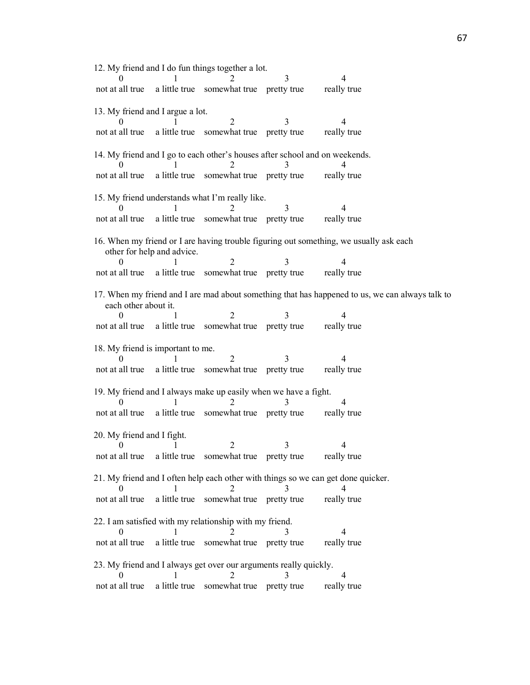12. My friend and I do fun things together a lot. 0 1 2 3 4 not at all true a little true somewhat true pretty true really true 13. My friend and I argue a lot. 0 1 2 3 4 not at all true a little true somewhat true pretty true really true 14. My friend and I go to each other's houses after school and on weekends. 0 1 2 3 4 not at all true a little true somewhat true pretty true really true 15. My friend understands what I'm really like. 0 1 2 3 4 not at all true a little true somewhat true pretty true really true 16. When my friend or I are having trouble figuring out something, we usually ask each other for help and advice. 0 1 2 3 4 not at all true a little true somewhat true pretty true really true 17. When my friend and I are mad about something that has happened to us, we can always talk to each other about it. 0 1 2 3 4 not at all true a little true somewhat true pretty true really true 18. My friend is important to me. 0 1 2 3 4 not at all true a little true somewhat true pretty true really true 19. My friend and I always make up easily when we have a fight. 0 1 2 3 4 not at all true a little true somewhat true pretty true really true 20. My friend and I fight. 0 1 2 3 4 not at all true a little true somewhat true pretty true really true 21. My friend and I often help each other with things so we can get done quicker. 0 1 2 3 4 not at all true a little true somewhat true pretty true really true 22. I am satisfied with my relationship with my friend. 0 1 2 3 4 not at all true a little true somewhat true pretty true really true 23. My friend and I always get over our arguments really quickly. 0 1 2 3 4 not at all true a little true somewhat true pretty true really true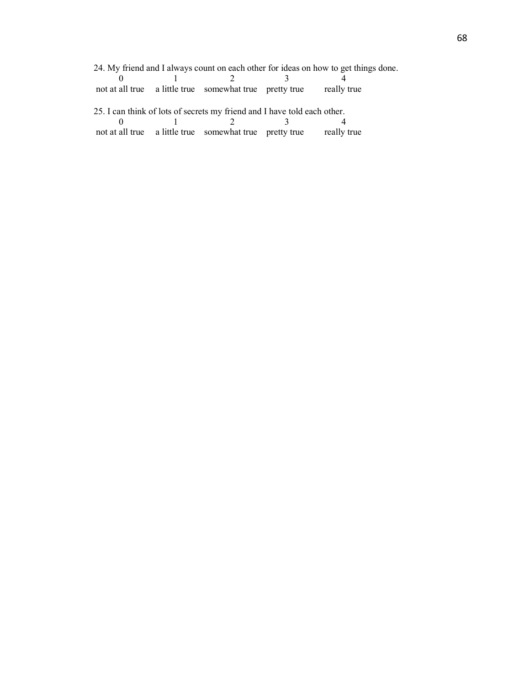24. My friend and I always count on each other for ideas on how to get things done.

|  | not at all true a little true somewhat true pretty true really true |  |
|--|---------------------------------------------------------------------|--|

25. I can think of lots of secrets my friend and I have told each other. 0 1 2 3 4 not at all true a little true somewhat true pretty true really true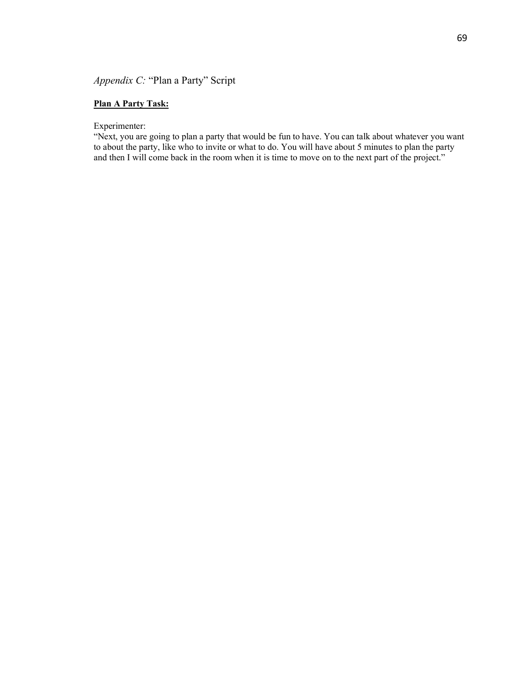### *Appendix C:* "Plan a Party" Script

### **Plan A Party Task:**

### Experimenter:

"Next, you are going to plan a party that would be fun to have. You can talk about whatever you want to about the party, like who to invite or what to do. You will have about 5 minutes to plan the party and then I will come back in the room when it is time to move on to the next part of the project."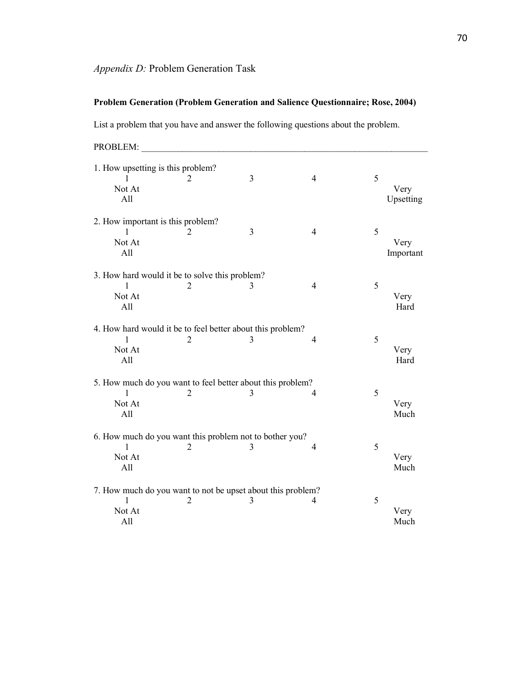## **Problem Generation (Problem Generation and Salience Questionnaire; Rose, 2004)**

List a problem that you have and answer the following questions about the problem.

PROBLEM:

| 1. How upsetting is this problem?<br>Not At<br>All | 2                                                                             | 3 | $\overline{4}$ | 5 | Very<br>Upsetting |
|----------------------------------------------------|-------------------------------------------------------------------------------|---|----------------|---|-------------------|
| 2. How important is this problem?<br>Not At<br>All | 2                                                                             | 3 | $\overline{4}$ | 5 | Very<br>Important |
| Not At<br>All                                      | 3. How hard would it be to solve this problem?<br>2                           | 3 | $\overline{4}$ | 5 | Very<br>Hard      |
| Not At<br>All                                      | 4. How hard would it be to feel better about this problem?<br>2               | 3 | 4              | 5 | Very<br>Hard      |
| $\mathbf{1}$<br>Not At<br>All                      | 5. How much do you want to feel better about this problem?<br>2               | 3 | 4              | 5 | Very<br>Much      |
| 1<br>Not At<br>All                                 | 6. How much do you want this problem not to bother you?<br>2                  | 3 | 4              | 5 | Very<br>Much      |
| 1<br>Not At<br>All                                 | 7. How much do you want to not be upset about this problem?<br>$\overline{c}$ | 3 | 4              | 5 | Very<br>Much      |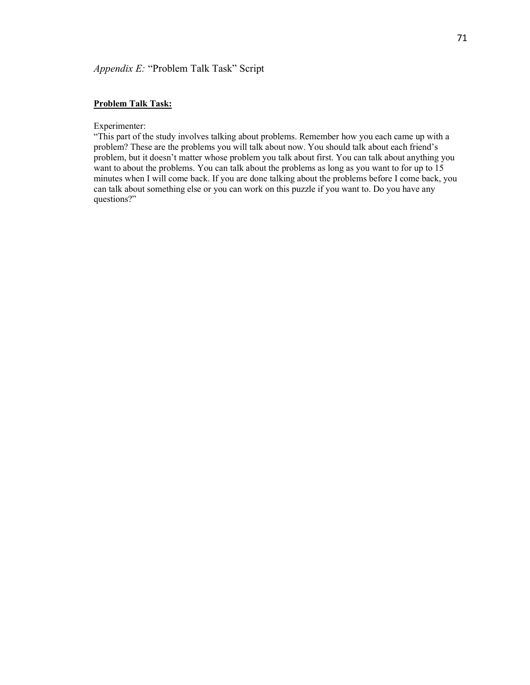## *Appendix E:* "Problem Talk Task" Script

## **Problem Talk Task:**

Experimenter:

"This part of the study involves talking about problems. Remember how you each came up with a problem? These are the problems you will talk about now. You should talk about each friend's problem, but it doesn't matter whose problem you talk about first. You can talk about anything you want to about the problems. You can talk about the problems as long as you want to for up to 15 minutes when I will come back. If you are done talking about the problems before I come back, you can talk about something else or you can work on this puzzle if you want to. Do you have any questions?"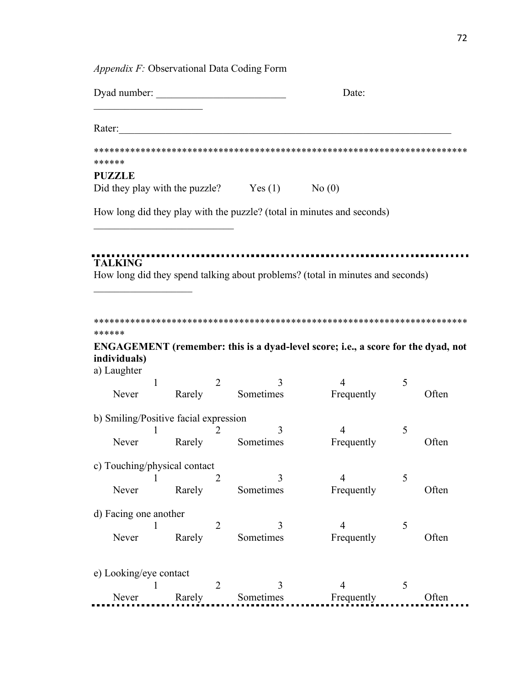| Appendix F: Observational Data Coding Form     |                  |                |                |                                                                                   |   |       |  |
|------------------------------------------------|------------------|----------------|----------------|-----------------------------------------------------------------------------------|---|-------|--|
| Dyad number:                                   |                  |                |                | Date:                                                                             |   |       |  |
| Rater:                                         |                  |                |                |                                                                                   |   |       |  |
| ******                                         |                  |                |                |                                                                                   |   |       |  |
| <b>PUZZLE</b>                                  |                  |                |                |                                                                                   |   |       |  |
| Did they play with the puzzle? $Yes(1)$ No (0) |                  |                |                |                                                                                   |   |       |  |
|                                                |                  |                |                | How long did they play with the puzzle? (total in minutes and seconds)            |   |       |  |
|                                                |                  |                |                |                                                                                   |   |       |  |
| <b>TALKING</b>                                 |                  |                |                |                                                                                   |   |       |  |
|                                                |                  |                |                | How long did they spend talking about problems? (total in minutes and seconds)    |   |       |  |
|                                                |                  |                |                |                                                                                   |   |       |  |
| ******<br>individuals)<br>a) Laughter          |                  |                |                | ENGAGEMENT (remember: this is a dyad-level score; i.e., a score for the dyad, not |   |       |  |
| 1                                              |                  | 2              | 3              | 4                                                                                 | 5 |       |  |
| Never                                          | Rarely           |                | Sometimes      | Frequently                                                                        |   | Often |  |
| b) Smiling/Positive facial expression          |                  |                |                |                                                                                   |   |       |  |
|                                                |                  | 2              | 3              | 4                                                                                 | 5 |       |  |
| Never                                          | Rarely Sometimes |                |                | Frequently                                                                        |   | Often |  |
| c) Touching/physical contact                   |                  |                |                |                                                                                   |   |       |  |
| 1                                              |                  | 2              | 3              | $\overline{4}$                                                                    | 5 |       |  |
| Never                                          | Rarely           |                | Sometimes      | Frequently                                                                        |   | Often |  |
| d) Facing one another                          |                  |                |                |                                                                                   |   |       |  |
|                                                |                  | $\overline{2}$ | 3              | $\overline{4}$                                                                    | 5 |       |  |
| Never                                          |                  |                |                |                                                                                   |   |       |  |
|                                                | Rarely           |                | Sometimes      | Frequently                                                                        |   | Often |  |
|                                                |                  |                |                |                                                                                   |   |       |  |
| e) Looking/eye contact                         |                  |                |                |                                                                                   |   |       |  |
| Never                                          | Rarely           | 2              | 3<br>Sometimes | $\overline{4}$<br>Frequently                                                      | 5 | Often |  |